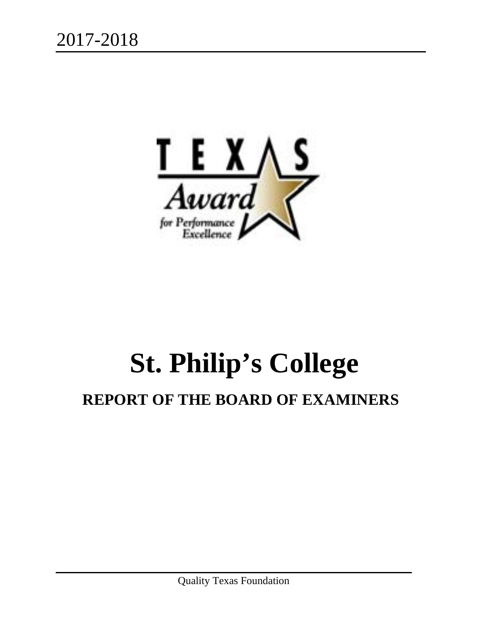

# **St. Philip's College**

# **REPORT OF THE BOARD OF EXAMINERS**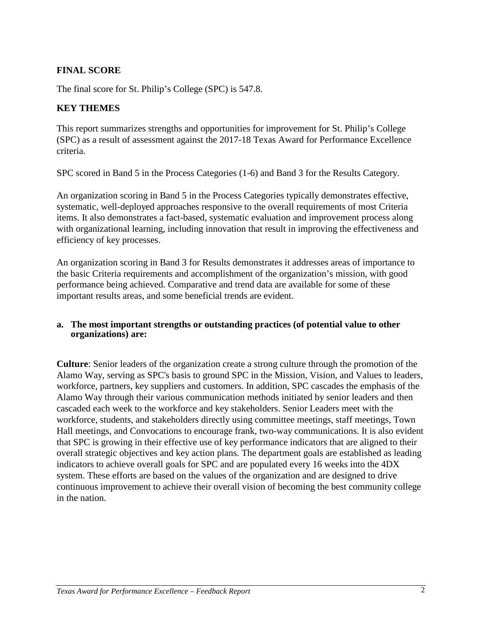# **FINAL SCORE**

The final score for St. Philip's College (SPC) is 547.8.

# **KEY THEMES**

This report summarizes strengths and opportunities for improvement for St. Philip's College (SPC) as a result of assessment against the 2017-18 Texas Award for Performance Excellence criteria.

SPC scored in Band 5 in the Process Categories (1-6) and Band 3 for the Results Category.

An organization scoring in Band 5 in the Process Categories typically demonstrates effective, systematic, well-deployed approaches responsive to the overall requirements of most Criteria items. It also demonstrates a fact-based, systematic evaluation and improvement process along with organizational learning, including innovation that result in improving the effectiveness and efficiency of key processes.

An organization scoring in Band 3 for Results demonstrates it addresses areas of importance to the basic Criteria requirements and accomplishment of the organization's mission, with good performance being achieved. Comparative and trend data are available for some of these important results areas, and some beneficial trends are evident.

#### **a. The most important strengths or outstanding practices (of potential value to other organizations) are:**

**Culture**: Senior leaders of the organization create a strong culture through the promotion of the Alamo Way, serving as SPC's basis to ground SPC in the Mission, Vision, and Values to leaders, workforce, partners, key suppliers and customers. In addition, SPC cascades the emphasis of the Alamo Way through their various communication methods initiated by senior leaders and then cascaded each week to the workforce and key stakeholders. Senior Leaders meet with the workforce, students, and stakeholders directly using committee meetings, staff meetings, Town Hall meetings, and Convocations to encourage frank, two-way communications. It is also evident that SPC is growing in their effective use of key performance indicators that are aligned to their overall strategic objectives and key action plans. The department goals are established as leading indicators to achieve overall goals for SPC and are populated every 16 weeks into the 4DX system. These efforts are based on the values of the organization and are designed to drive continuous improvement to achieve their overall vision of becoming the best community college in the nation.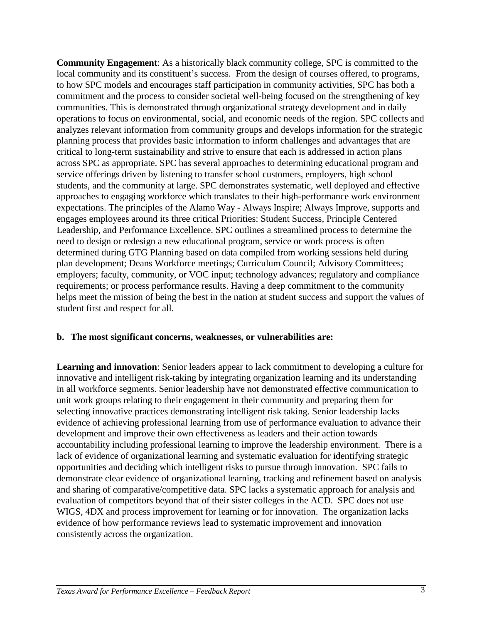**Community Engagement**: As a historically black community college, SPC is committed to the local community and its constituent's success. From the design of courses offered, to programs, to how SPC models and encourages staff participation in community activities, SPC has both a commitment and the process to consider societal well-being focused on the strengthening of key communities. This is demonstrated through organizational strategy development and in daily operations to focus on environmental, social, and economic needs of the region. SPC collects and analyzes relevant information from community groups and develops information for the strategic planning process that provides basic information to inform challenges and advantages that are critical to long-term sustainability and strive to ensure that each is addressed in action plans across SPC as appropriate. SPC has several approaches to determining educational program and service offerings driven by listening to transfer school customers, employers, high school students, and the community at large. SPC demonstrates systematic, well deployed and effective approaches to engaging workforce which translates to their high-performance work environment expectations. The principles of the Alamo Way - Always Inspire; Always Improve, supports and engages employees around its three critical Priorities: Student Success, Principle Centered Leadership, and Performance Excellence. SPC outlines a streamlined process to determine the need to design or redesign a new educational program, service or work process is often determined during GTG Planning based on data compiled from working sessions held during plan development; Deans Workforce meetings; Curriculum Council; Advisory Committees; employers; faculty, community, or VOC input; technology advances; regulatory and compliance requirements; or process performance results. Having a deep commitment to the community helps meet the mission of being the best in the nation at student success and support the values of student first and respect for all.

# **b. The most significant concerns, weaknesses, or vulnerabilities are:**

**Learning and innovation**: Senior leaders appear to lack commitment to developing a culture for innovative and intelligent risk-taking by integrating organization learning and its understanding in all workforce segments. Senior leadership have not demonstrated effective communication to unit work groups relating to their engagement in their community and preparing them for selecting innovative practices demonstrating intelligent risk taking. Senior leadership lacks evidence of achieving professional learning from use of performance evaluation to advance their development and improve their own effectiveness as leaders and their action towards accountability including professional learning to improve the leadership environment. There is a lack of evidence of organizational learning and systematic evaluation for identifying strategic opportunities and deciding which intelligent risks to pursue through innovation. SPC fails to demonstrate clear evidence of organizational learning, tracking and refinement based on analysis and sharing of comparative/competitive data. SPC lacks a systematic approach for analysis and evaluation of competitors beyond that of their sister colleges in the ACD. SPC does not use WIGS, 4DX and process improvement for learning or for innovation. The organization lacks evidence of how performance reviews lead to systematic improvement and innovation consistently across the organization.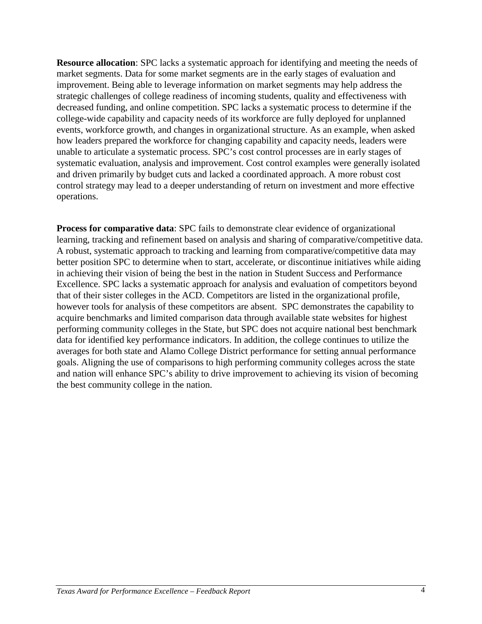**Resource allocation:** SPC lacks a systematic approach for identifying and meeting the needs of market segments. Data for some market segments are in the early stages of evaluation and improvement. Being able to leverage information on market segments may help address the strategic challenges of college readiness of incoming students, quality and effectiveness with decreased funding, and online competition. SPC lacks a systematic process to determine if the college-wide capability and capacity needs of its workforce are fully deployed for unplanned events, workforce growth, and changes in organizational structure. As an example, when asked how leaders prepared the workforce for changing capability and capacity needs, leaders were unable to articulate a systematic process. SPC's cost control processes are in early stages of systematic evaluation, analysis and improvement. Cost control examples were generally isolated and driven primarily by budget cuts and lacked a coordinated approach. A more robust cost control strategy may lead to a deeper understanding of return on investment and more effective operations.

**Process for comparative data**: SPC fails to demonstrate clear evidence of organizational learning, tracking and refinement based on analysis and sharing of comparative/competitive data. A robust, systematic approach to tracking and learning from comparative/competitive data may better position SPC to determine when to start, accelerate, or discontinue initiatives while aiding in achieving their vision of being the best in the nation in Student Success and Performance Excellence. SPC lacks a systematic approach for analysis and evaluation of competitors beyond that of their sister colleges in the ACD. Competitors are listed in the organizational profile, however tools for analysis of these competitors are absent. SPC demonstrates the capability to acquire benchmarks and limited comparison data through available state websites for highest performing community colleges in the State, but SPC does not acquire national best benchmark data for identified key performance indicators. In addition, the college continues to utilize the averages for both state and Alamo College District performance for setting annual performance goals. Aligning the use of comparisons to high performing community colleges across the state and nation will enhance SPC's ability to drive improvement to achieving its vision of becoming the best community college in the nation.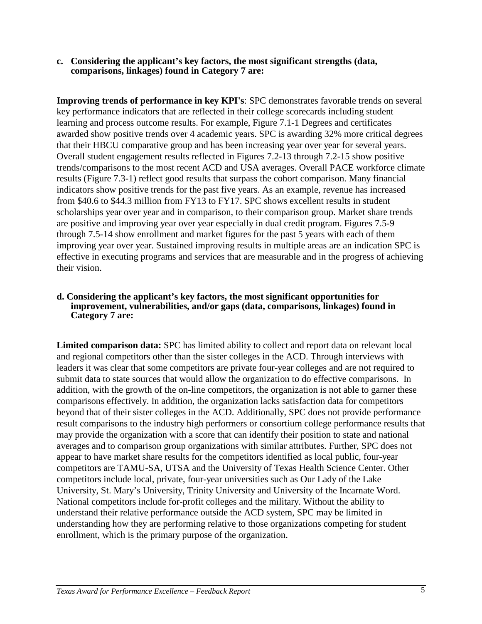**c. Considering the applicant's key factors, the most significant strengths (data, comparisons, linkages) found in Category 7 are:**

**Improving trends of performance in key KPI's**: SPC demonstrates favorable trends on several key performance indicators that are reflected in their college scorecards including student learning and process outcome results. For example, Figure 7.1-1 Degrees and certificates awarded show positive trends over 4 academic years. SPC is awarding 32% more critical degrees that their HBCU comparative group and has been increasing year over year for several years. Overall student engagement results reflected in Figures 7.2-13 through 7.2-15 show positive trends/comparisons to the most recent ACD and USA averages. Overall PACE workforce climate results (Figure 7.3-1) reflect good results that surpass the cohort comparison. Many financial indicators show positive trends for the past five years. As an example, revenue has increased from \$40.6 to \$44.3 million from FY13 to FY17. SPC shows excellent results in student scholarships year over year and in comparison, to their comparison group. Market share trends are positive and improving year over year especially in dual credit program. Figures 7.5-9 through 7.5-14 show enrollment and market figures for the past 5 years with each of them improving year over year. Sustained improving results in multiple areas are an indication SPC is effective in executing programs and services that are measurable and in the progress of achieving their vision.

#### **d. Considering the applicant's key factors, the most significant opportunities for improvement, vulnerabilities, and/or gaps (data, comparisons, linkages) found in Category 7 are:**

**Limited comparison data:** SPC has limited ability to collect and report data on relevant local and regional competitors other than the sister colleges in the ACD. Through interviews with leaders it was clear that some competitors are private four-year colleges and are not required to submit data to state sources that would allow the organization to do effective comparisons. In addition, with the growth of the on-line competitors, the organization is not able to garner these comparisons effectively. In addition, the organization lacks satisfaction data for competitors beyond that of their sister colleges in the ACD. Additionally, SPC does not provide performance result comparisons to the industry high performers or consortium college performance results that may provide the organization with a score that can identify their position to state and national averages and to comparison group organizations with similar attributes. Further, SPC does not appear to have market share results for the competitors identified as local public, four-year competitors are TAMU-SA, UTSA and the University of Texas Health Science Center. Other competitors include local, private, four-year universities such as Our Lady of the Lake University, St. Mary's University, Trinity University and University of the Incarnate Word. National competitors include for-profit colleges and the military. Without the ability to understand their relative performance outside the ACD system, SPC may be limited in understanding how they are performing relative to those organizations competing for student enrollment, which is the primary purpose of the organization.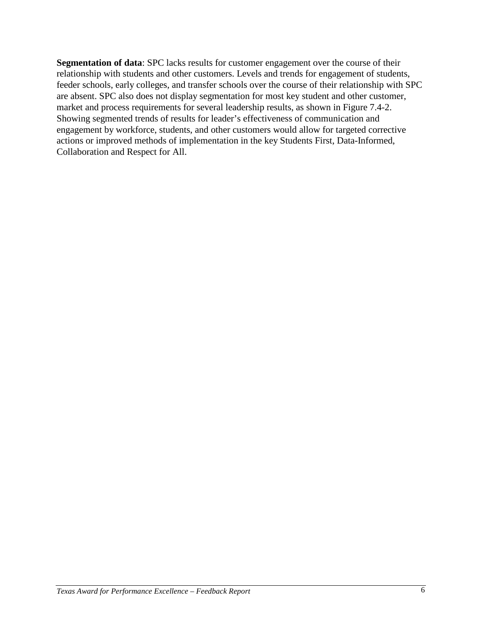**Segmentation of data**: SPC lacks results for customer engagement over the course of their relationship with students and other customers. Levels and trends for engagement of students, feeder schools, early colleges, and transfer schools over the course of their relationship with SPC are absent. SPC also does not display segmentation for most key student and other customer, market and process requirements for several leadership results, as shown in Figure 7.4-2. Showing segmented trends of results for leader's effectiveness of communication and engagement by workforce, students, and other customers would allow for targeted corrective actions or improved methods of implementation in the key Students First, Data-Informed, Collaboration and Respect for All.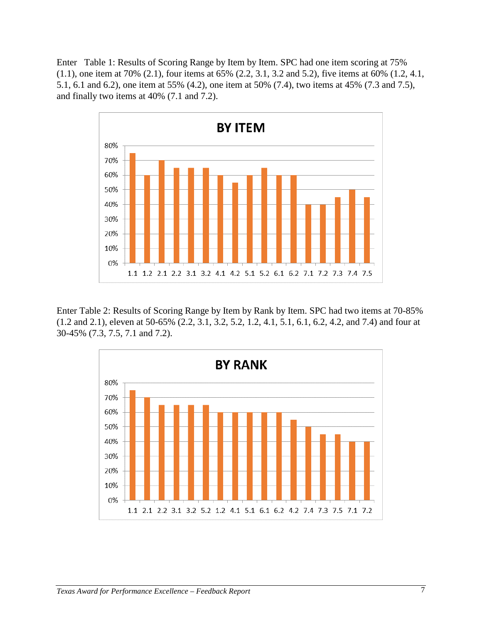Enter Table 1: Results of Scoring Range by Item by Item. SPC had one item scoring at 75% (1.1), one item at 70% (2.1), four items at 65% (2.2, 3.1, 3.2 and 5.2), five items at 60% (1.2, 4.1, 5.1, 6.1 and 6.2), one item at 55% (4.2), one item at 50% (7.4), two items at 45% (7.3 and 7.5), and finally two items at 40% (7.1 and 7.2).



Enter Table 2: Results of Scoring Range by Item by Rank by Item. SPC had two items at 70-85% (1.2 and 2.1), eleven at 50-65% (2.2, 3.1, 3.2, 5.2, 1.2, 4.1, 5.1, 6.1, 6.2, 4.2, and 7.4) and four at 30-45% (7.3, 7.5, 7.1 and 7.2).

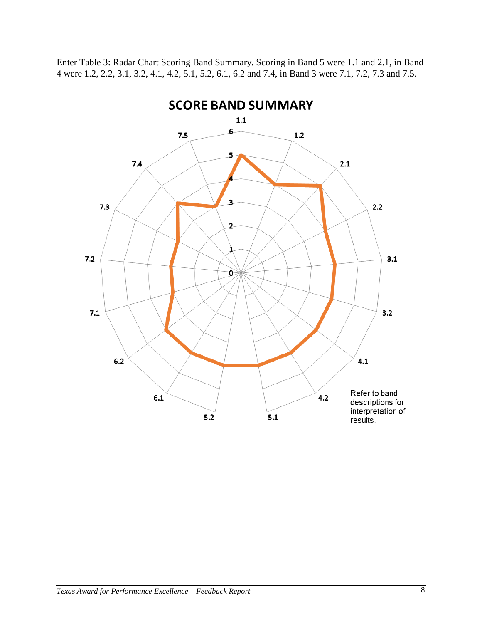

Enter Table 3: Radar Chart Scoring Band Summary. Scoring in Band 5 were 1.1 and 2.1, in Band 4 were 1.2, 2.2, 3.1, 3.2, 4.1, 4.2, 5.1, 5.2, 6.1, 6.2 and 7.4, in Band 3 were 7.1, 7.2, 7.3 and 7.5.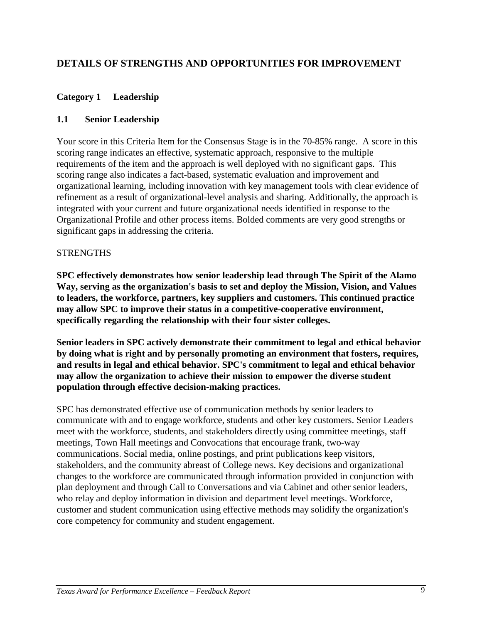# **DETAILS OF STRENGTHS AND OPPORTUNITIES FOR IMPROVEMENT**

# **Category 1 Leadership**

# **1.1 Senior Leadership**

Your score in this Criteria Item for the Consensus Stage is in the 70-85% range. A score in this scoring range indicates an effective, systematic approach, responsive to the multiple requirements of the item and the approach is well deployed with no significant gaps. This scoring range also indicates a fact-based, systematic evaluation and improvement and organizational learning, including innovation with key management tools with clear evidence of refinement as a result of organizational-level analysis and sharing. Additionally, the approach is integrated with your current and future organizational needs identified in response to the Organizational Profile and other process items. Bolded comments are very good strengths or significant gaps in addressing the criteria.

#### **STRENGTHS**

**SPC effectively demonstrates how senior leadership lead through The Spirit of the Alamo Way, serving as the organization's basis to set and deploy the Mission, Vision, and Values to leaders, the workforce, partners, key suppliers and customers. This continued practice may allow SPC to improve their status in a competitive-cooperative environment, specifically regarding the relationship with their four sister colleges.**

**Senior leaders in SPC actively demonstrate their commitment to legal and ethical behavior by doing what is right and by personally promoting an environment that fosters, requires, and results in legal and ethical behavior. SPC's commitment to legal and ethical behavior may allow the organization to achieve their mission to empower the diverse student population through effective decision-making practices.**

SPC has demonstrated effective use of communication methods by senior leaders to communicate with and to engage workforce, students and other key customers. Senior Leaders meet with the workforce, students, and stakeholders directly using committee meetings, staff meetings, Town Hall meetings and Convocations that encourage frank, two-way communications. Social media, online postings, and print publications keep visitors, stakeholders, and the community abreast of College news. Key decisions and organizational changes to the workforce are communicated through information provided in conjunction with plan deployment and through Call to Conversations and via Cabinet and other senior leaders, who relay and deploy information in division and department level meetings. Workforce, customer and student communication using effective methods may solidify the organization's core competency for community and student engagement.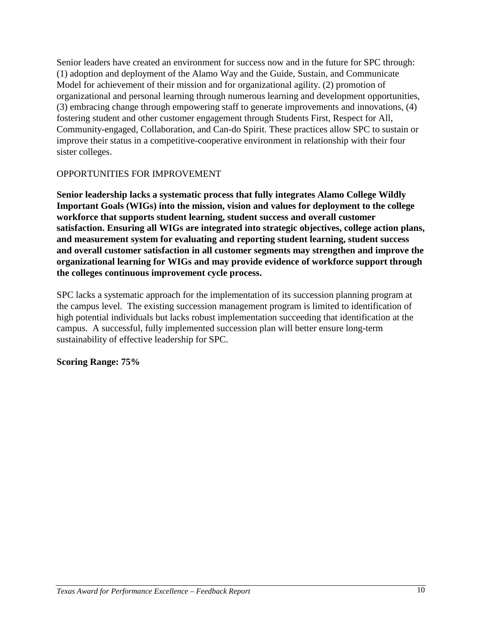Senior leaders have created an environment for success now and in the future for SPC through: (1) adoption and deployment of the Alamo Way and the Guide, Sustain, and Communicate Model for achievement of their mission and for organizational agility. (2) promotion of organizational and personal learning through numerous learning and development opportunities, (3) embracing change through empowering staff to generate improvements and innovations, (4) fostering student and other customer engagement through Students First, Respect for All, Community-engaged, Collaboration, and Can-do Spirit. These practices allow SPC to sustain or improve their status in a competitive-cooperative environment in relationship with their four sister colleges.

# OPPORTUNITIES FOR IMPROVEMENT

**Senior leadership lacks a systematic process that fully integrates Alamo College Wildly Important Goals (WIGs) into the mission, vision and values for deployment to the college workforce that supports student learning, student success and overall customer satisfaction. Ensuring all WIGs are integrated into strategic objectives, college action plans, and measurement system for evaluating and reporting student learning, student success and overall customer satisfaction in all customer segments may strengthen and improve the organizational learning for WIGs and may provide evidence of workforce support through the colleges continuous improvement cycle process.**

SPC lacks a systematic approach for the implementation of its succession planning program at the campus level. The existing succession management program is limited to identification of high potential individuals but lacks robust implementation succeeding that identification at the campus. A successful, fully implemented succession plan will better ensure long-term sustainability of effective leadership for SPC.

# **Scoring Range: 75%**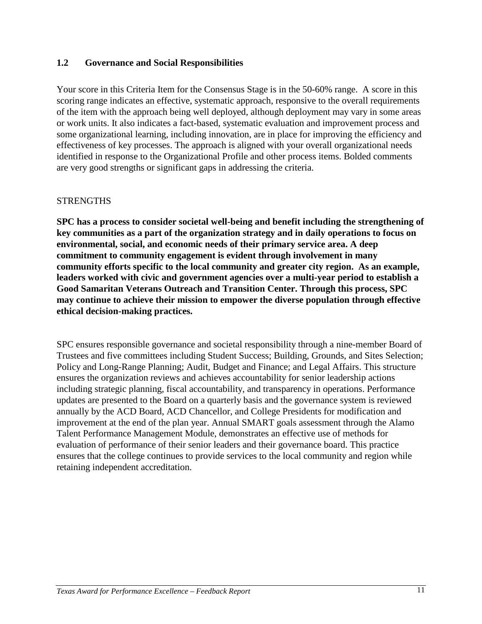# **1.2 Governance and Social Responsibilities**

Your score in this Criteria Item for the Consensus Stage is in the 50-60% range. A score in this scoring range indicates an effective, systematic approach, responsive to the overall requirements of the item with the approach being well deployed, although deployment may vary in some areas or work units. It also indicates a fact-based, systematic evaluation and improvement process and some organizational learning, including innovation, are in place for improving the efficiency and effectiveness of key processes. The approach is aligned with your overall organizational needs identified in response to the Organizational Profile and other process items. Bolded comments are very good strengths or significant gaps in addressing the criteria.

#### **STRENGTHS**

**SPC has a process to consider societal well-being and benefit including the strengthening of key communities as a part of the organization strategy and in daily operations to focus on environmental, social, and economic needs of their primary service area. A deep commitment to community engagement is evident through involvement in many community efforts specific to the local community and greater city region. As an example, leaders worked with civic and government agencies over a multi-year period to establish a Good Samaritan Veterans Outreach and Transition Center. Through this process, SPC may continue to achieve their mission to empower the diverse population through effective ethical decision-making practices.**

SPC ensures responsible governance and societal responsibility through a nine-member Board of Trustees and five committees including Student Success; Building, Grounds, and Sites Selection; Policy and Long-Range Planning; Audit, Budget and Finance; and Legal Affairs. This structure ensures the organization reviews and achieves accountability for senior leadership actions including strategic planning, fiscal accountability, and transparency in operations. Performance updates are presented to the Board on a quarterly basis and the governance system is reviewed annually by the ACD Board, ACD Chancellor, and College Presidents for modification and improvement at the end of the plan year. Annual SMART goals assessment through the Alamo Talent Performance Management Module, demonstrates an effective use of methods for evaluation of performance of their senior leaders and their governance board. This practice ensures that the college continues to provide services to the local community and region while retaining independent accreditation.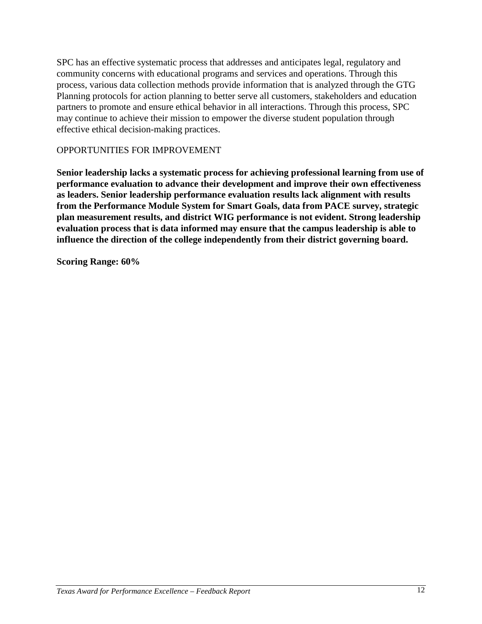SPC has an effective systematic process that addresses and anticipates legal, regulatory and community concerns with educational programs and services and operations. Through this process, various data collection methods provide information that is analyzed through the GTG Planning protocols for action planning to better serve all customers, stakeholders and education partners to promote and ensure ethical behavior in all interactions. Through this process, SPC may continue to achieve their mission to empower the diverse student population through effective ethical decision-making practices.

# OPPORTUNITIES FOR IMPROVEMENT

**Senior leadership lacks a systematic process for achieving professional learning from use of performance evaluation to advance their development and improve their own effectiveness as leaders. Senior leadership performance evaluation results lack alignment with results from the Performance Module System for Smart Goals, data from PACE survey, strategic plan measurement results, and district WIG performance is not evident. Strong leadership evaluation process that is data informed may ensure that the campus leadership is able to influence the direction of the college independently from their district governing board.**

**Scoring Range: 60%**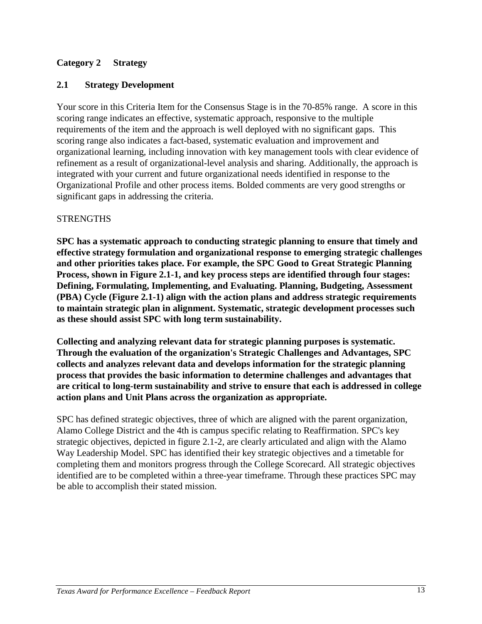# **Category 2 Strategy**

# **2.1 Strategy Development**

Your score in this Criteria Item for the Consensus Stage is in the 70-85% range. A score in this scoring range indicates an effective, systematic approach, responsive to the multiple requirements of the item and the approach is well deployed with no significant gaps. This scoring range also indicates a fact-based, systematic evaluation and improvement and organizational learning, including innovation with key management tools with clear evidence of refinement as a result of organizational-level analysis and sharing. Additionally, the approach is integrated with your current and future organizational needs identified in response to the Organizational Profile and other process items. Bolded comments are very good strengths or significant gaps in addressing the criteria.

# **STRENGTHS**

**SPC has a systematic approach to conducting strategic planning to ensure that timely and effective strategy formulation and organizational response to emerging strategic challenges and other priorities takes place. For example, the SPC Good to Great Strategic Planning Process, shown in Figure 2.1-1, and key process steps are identified through four stages: Defining, Formulating, Implementing, and Evaluating. Planning, Budgeting, Assessment (PBA) Cycle (Figure 2.1-1) align with the action plans and address strategic requirements to maintain strategic plan in alignment. Systematic, strategic development processes such as these should assist SPC with long term sustainability.**

**Collecting and analyzing relevant data for strategic planning purposes is systematic. Through the evaluation of the organization's Strategic Challenges and Advantages, SPC collects and analyzes relevant data and develops information for the strategic planning process that provides the basic information to determine challenges and advantages that are critical to long-term sustainability and strive to ensure that each is addressed in college action plans and Unit Plans across the organization as appropriate.**

SPC has defined strategic objectives, three of which are aligned with the parent organization, Alamo College District and the 4th is campus specific relating to Reaffirmation. SPC's key strategic objectives, depicted in figure 2.1-2, are clearly articulated and align with the Alamo Way Leadership Model. SPC has identified their key strategic objectives and a timetable for completing them and monitors progress through the College Scorecard. All strategic objectives identified are to be completed within a three-year timeframe. Through these practices SPC may be able to accomplish their stated mission.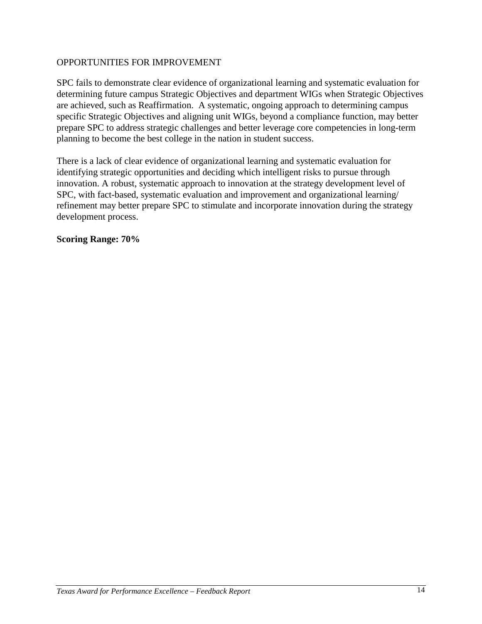SPC fails to demonstrate clear evidence of organizational learning and systematic evaluation for determining future campus Strategic Objectives and department WIGs when Strategic Objectives are achieved, such as Reaffirmation. A systematic, ongoing approach to determining campus specific Strategic Objectives and aligning unit WIGs, beyond a compliance function, may better prepare SPC to address strategic challenges and better leverage core competencies in long-term planning to become the best college in the nation in student success.

There is a lack of clear evidence of organizational learning and systematic evaluation for identifying strategic opportunities and deciding which intelligent risks to pursue through innovation. A robust, systematic approach to innovation at the strategy development level of SPC, with fact-based, systematic evaluation and improvement and organizational learning/ refinement may better prepare SPC to stimulate and incorporate innovation during the strategy development process.

**Scoring Range: 70%**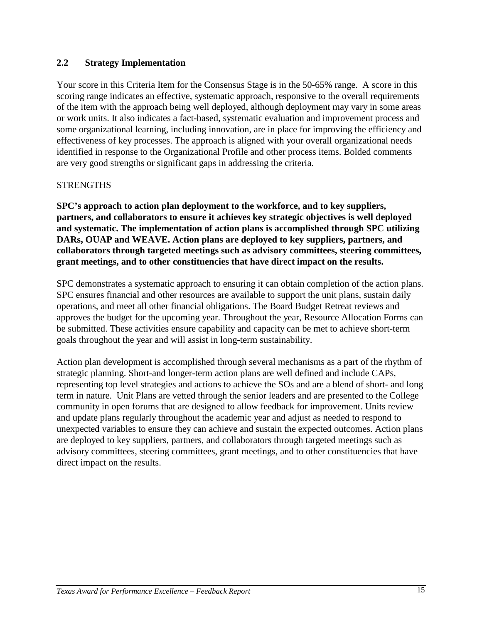# **2.2 Strategy Implementation**

Your score in this Criteria Item for the Consensus Stage is in the 50-65% range. A score in this scoring range indicates an effective, systematic approach, responsive to the overall requirements of the item with the approach being well deployed, although deployment may vary in some areas or work units. It also indicates a fact-based, systematic evaluation and improvement process and some organizational learning, including innovation, are in place for improving the efficiency and effectiveness of key processes. The approach is aligned with your overall organizational needs identified in response to the Organizational Profile and other process items. Bolded comments are very good strengths or significant gaps in addressing the criteria.

# STRENGTHS

**SPC's approach to action plan deployment to the workforce, and to key suppliers, partners, and collaborators to ensure it achieves key strategic objectives is well deployed and systematic. The implementation of action plans is accomplished through SPC utilizing DARs, OUAP and WEAVE. Action plans are deployed to key suppliers, partners, and collaborators through targeted meetings such as advisory committees, steering committees, grant meetings, and to other constituencies that have direct impact on the results.** 

SPC demonstrates a systematic approach to ensuring it can obtain completion of the action plans. SPC ensures financial and other resources are available to support the unit plans, sustain daily operations, and meet all other financial obligations. The Board Budget Retreat reviews and approves the budget for the upcoming year. Throughout the year, Resource Allocation Forms can be submitted. These activities ensure capability and capacity can be met to achieve short-term goals throughout the year and will assist in long-term sustainability.

Action plan development is accomplished through several mechanisms as a part of the rhythm of strategic planning. Short-and longer-term action plans are well defined and include CAPs, representing top level strategies and actions to achieve the SOs and are a blend of short- and long term in nature. Unit Plans are vetted through the senior leaders and are presented to the College community in open forums that are designed to allow feedback for improvement. Units review and update plans regularly throughout the academic year and adjust as needed to respond to unexpected variables to ensure they can achieve and sustain the expected outcomes. Action plans are deployed to key suppliers, partners, and collaborators through targeted meetings such as advisory committees, steering committees, grant meetings, and to other constituencies that have direct impact on the results.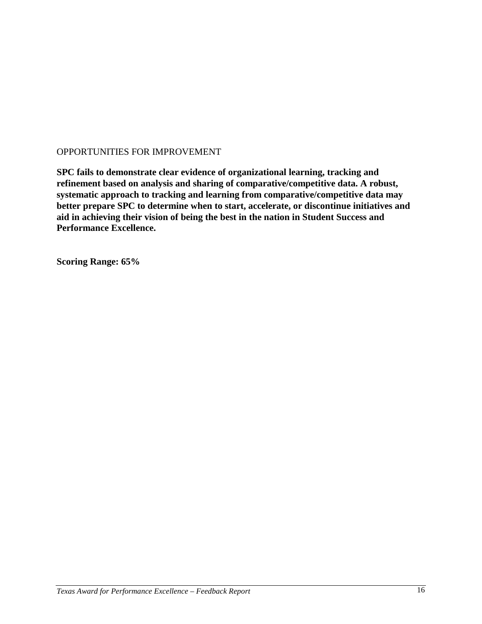**SPC fails to demonstrate clear evidence of organizational learning, tracking and refinement based on analysis and sharing of comparative/competitive data. A robust, systematic approach to tracking and learning from comparative/competitive data may better prepare SPC to determine when to start, accelerate, or discontinue initiatives and aid in achieving their vision of being the best in the nation in Student Success and Performance Excellence.**

**Scoring Range: 65%**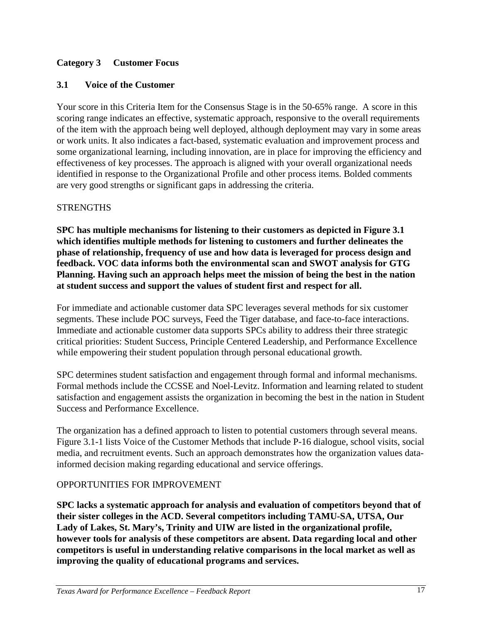# **Category 3 Customer Focus**

## **3.1 Voice of the Customer**

Your score in this Criteria Item for the Consensus Stage is in the 50-65% range. A score in this scoring range indicates an effective, systematic approach, responsive to the overall requirements of the item with the approach being well deployed, although deployment may vary in some areas or work units. It also indicates a fact-based, systematic evaluation and improvement process and some organizational learning, including innovation, are in place for improving the efficiency and effectiveness of key processes. The approach is aligned with your overall organizational needs identified in response to the Organizational Profile and other process items. Bolded comments are very good strengths or significant gaps in addressing the criteria.

#### **STRENGTHS**

**SPC has multiple mechanisms for listening to their customers as depicted in Figure 3.1 which identifies multiple methods for listening to customers and further delineates the phase of relationship, frequency of use and how data is leveraged for process design and feedback. VOC data informs both the environmental scan and SWOT analysis for GTG Planning. Having such an approach helps meet the mission of being the best in the nation at student success and support the values of student first and respect for all.**

For immediate and actionable customer data SPC leverages several methods for six customer segments. These include POC surveys, Feed the Tiger database, and face-to-face interactions. Immediate and actionable customer data supports SPCs ability to address their three strategic critical priorities: Student Success, Principle Centered Leadership, and Performance Excellence while empowering their student population through personal educational growth.

SPC determines student satisfaction and engagement through formal and informal mechanisms. Formal methods include the CCSSE and Noel-Levitz. Information and learning related to student satisfaction and engagement assists the organization in becoming the best in the nation in Student Success and Performance Excellence.

The organization has a defined approach to listen to potential customers through several means. Figure 3.1-1 lists Voice of the Customer Methods that include P-16 dialogue, school visits, social media, and recruitment events. Such an approach demonstrates how the organization values datainformed decision making regarding educational and service offerings.

#### OPPORTUNITIES FOR IMPROVEMENT

**SPC lacks a systematic approach for analysis and evaluation of competitors beyond that of their sister colleges in the ACD. Several competitors including TAMU-SA, UTSA, Our Lady of Lakes, St. Mary's, Trinity and UIW are listed in the organizational profile, however tools for analysis of these competitors are absent. Data regarding local and other competitors is useful in understanding relative comparisons in the local market as well as improving the quality of educational programs and services.**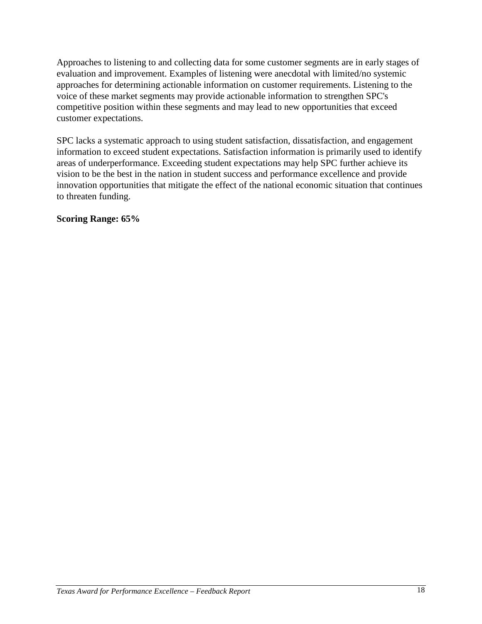Approaches to listening to and collecting data for some customer segments are in early stages of evaluation and improvement. Examples of listening were anecdotal with limited/no systemic approaches for determining actionable information on customer requirements. Listening to the voice of these market segments may provide actionable information to strengthen SPC's competitive position within these segments and may lead to new opportunities that exceed customer expectations.

SPC lacks a systematic approach to using student satisfaction, dissatisfaction, and engagement information to exceed student expectations. Satisfaction information is primarily used to identify areas of underperformance. Exceeding student expectations may help SPC further achieve its vision to be the best in the nation in student success and performance excellence and provide innovation opportunities that mitigate the effect of the national economic situation that continues to threaten funding.

**Scoring Range: 65%**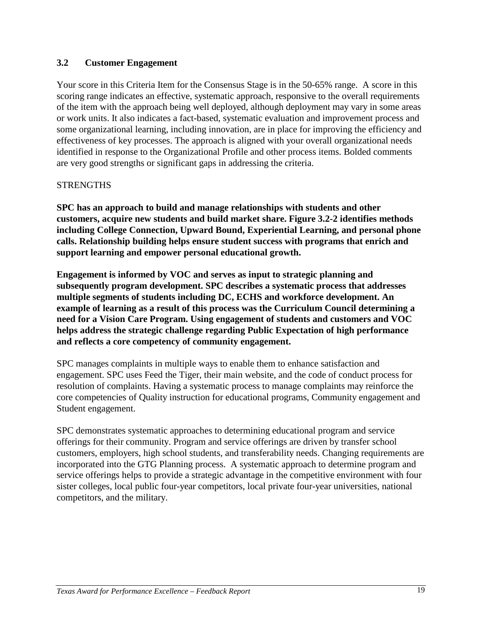# **3.2 Customer Engagement**

Your score in this Criteria Item for the Consensus Stage is in the 50-65% range. A score in this scoring range indicates an effective, systematic approach, responsive to the overall requirements of the item with the approach being well deployed, although deployment may vary in some areas or work units. It also indicates a fact-based, systematic evaluation and improvement process and some organizational learning, including innovation, are in place for improving the efficiency and effectiveness of key processes. The approach is aligned with your overall organizational needs identified in response to the Organizational Profile and other process items. Bolded comments are very good strengths or significant gaps in addressing the criteria.

# STRENGTHS

**SPC has an approach to build and manage relationships with students and other customers, acquire new students and build market share. Figure 3.2-2 identifies methods including College Connection, Upward Bound, Experiential Learning, and personal phone calls. Relationship building helps ensure student success with programs that enrich and support learning and empower personal educational growth.**

**Engagement is informed by VOC and serves as input to strategic planning and subsequently program development. SPC describes a systematic process that addresses multiple segments of students including DC, ECHS and workforce development. An example of learning as a result of this process was the Curriculum Council determining a need for a Vision Care Program. Using engagement of students and customers and VOC helps address the strategic challenge regarding Public Expectation of high performance and reflects a core competency of community engagement.**

SPC manages complaints in multiple ways to enable them to enhance satisfaction and engagement. SPC uses Feed the Tiger, their main website, and the code of conduct process for resolution of complaints. Having a systematic process to manage complaints may reinforce the core competencies of Quality instruction for educational programs, Community engagement and Student engagement.

SPC demonstrates systematic approaches to determining educational program and service offerings for their community. Program and service offerings are driven by transfer school customers, employers, high school students, and transferability needs. Changing requirements are incorporated into the GTG Planning process. A systematic approach to determine program and service offerings helps to provide a strategic advantage in the competitive environment with four sister colleges, local public four-year competitors, local private four-year universities, national competitors, and the military.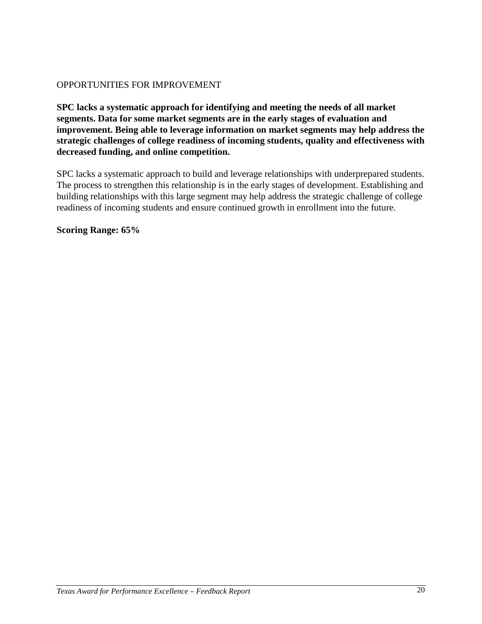**SPC lacks a systematic approach for identifying and meeting the needs of all market segments. Data for some market segments are in the early stages of evaluation and improvement. Being able to leverage information on market segments may help address the strategic challenges of college readiness of incoming students, quality and effectiveness with decreased funding, and online competition.**

SPC lacks a systematic approach to build and leverage relationships with underprepared students. The process to strengthen this relationship is in the early stages of development. Establishing and building relationships with this large segment may help address the strategic challenge of college readiness of incoming students and ensure continued growth in enrollment into the future.

**Scoring Range: 65%**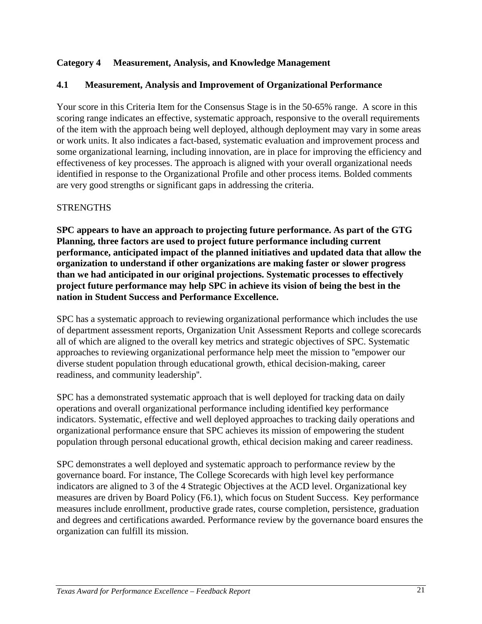# **Category 4 Measurement, Analysis, and Knowledge Management**

# **4.1 Measurement, Analysis and Improvement of Organizational Performance**

Your score in this Criteria Item for the Consensus Stage is in the 50-65% range. A score in this scoring range indicates an effective, systematic approach, responsive to the overall requirements of the item with the approach being well deployed, although deployment may vary in some areas or work units. It also indicates a fact-based, systematic evaluation and improvement process and some organizational learning, including innovation, are in place for improving the efficiency and effectiveness of key processes. The approach is aligned with your overall organizational needs identified in response to the Organizational Profile and other process items. Bolded comments are very good strengths or significant gaps in addressing the criteria.

#### **STRENGTHS**

**SPC appears to have an approach to projecting future performance. As part of the GTG Planning, three factors are used to project future performance including current performance, anticipated impact of the planned initiatives and updated data that allow the organization to understand if other organizations are making faster or slower progress than we had anticipated in our original projections. Systematic processes to effectively project future performance may help SPC in achieve its vision of being the best in the nation in Student Success and Performance Excellence.**

SPC has a systematic approach to reviewing organizational performance which includes the use of department assessment reports, Organization Unit Assessment Reports and college scorecards all of which are aligned to the overall key metrics and strategic objectives of SPC. Systematic approaches to reviewing organizational performance help meet the mission to ''empower our diverse student population through educational growth, ethical decision-making, career readiness, and community leadership''.

SPC has a demonstrated systematic approach that is well deployed for tracking data on daily operations and overall organizational performance including identified key performance indicators. Systematic, effective and well deployed approaches to tracking daily operations and organizational performance ensure that SPC achieves its mission of empowering the student population through personal educational growth, ethical decision making and career readiness.

SPC demonstrates a well deployed and systematic approach to performance review by the governance board. For instance, The College Scorecards with high level key performance indicators are aligned to 3 of the 4 Strategic Objectives at the ACD level. Organizational key measures are driven by Board Policy (F6.1), which focus on Student Success. Key performance measures include enrollment, productive grade rates, course completion, persistence, graduation and degrees and certifications awarded. Performance review by the governance board ensures the organization can fulfill its mission.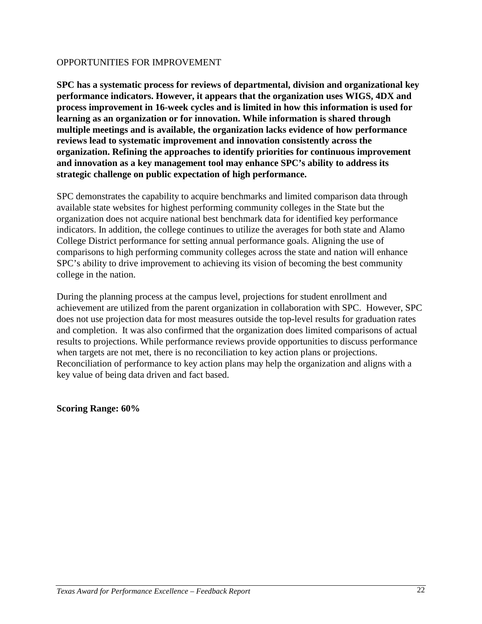**SPC has a systematic process for reviews of departmental, division and organizational key performance indicators. However, it appears that the organization uses WIGS, 4DX and process improvement in 16-week cycles and is limited in how this information is used for learning as an organization or for innovation. While information is shared through multiple meetings and is available, the organization lacks evidence of how performance reviews lead to systematic improvement and innovation consistently across the organization. Refining the approaches to identify priorities for continuous improvement and innovation as a key management tool may enhance SPC's ability to address its strategic challenge on public expectation of high performance.** 

SPC demonstrates the capability to acquire benchmarks and limited comparison data through available state websites for highest performing community colleges in the State but the organization does not acquire national best benchmark data for identified key performance indicators. In addition, the college continues to utilize the averages for both state and Alamo College District performance for setting annual performance goals. Aligning the use of comparisons to high performing community colleges across the state and nation will enhance SPC's ability to drive improvement to achieving its vision of becoming the best community college in the nation.

During the planning process at the campus level, projections for student enrollment and achievement are utilized from the parent organization in collaboration with SPC. However, SPC does not use projection data for most measures outside the top-level results for graduation rates and completion. It was also confirmed that the organization does limited comparisons of actual results to projections. While performance reviews provide opportunities to discuss performance when targets are not met, there is no reconciliation to key action plans or projections. Reconciliation of performance to key action plans may help the organization and aligns with a key value of being data driven and fact based.

**Scoring Range: 60%**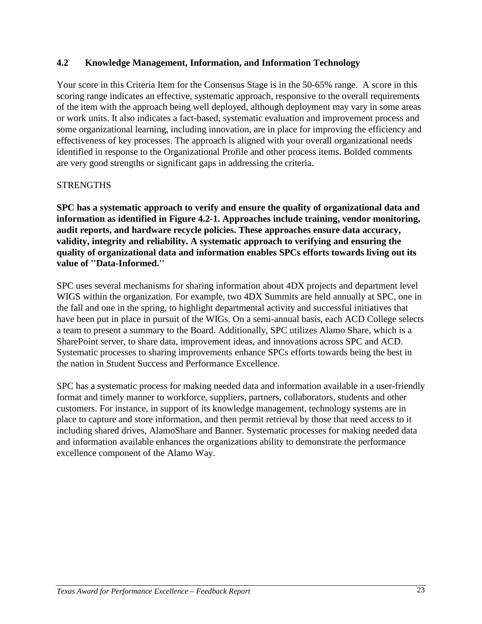# **4.2 Knowledge Management, Information, and Information Technology**

Your score in this Criteria Item for the Consensus Stage is in the 50-65% range. A score in this scoring range indicates an effective, systematic approach, responsive to the overall requirements of the item with the approach being well deployed, although deployment may vary in some areas or work units. It also indicates a fact-based, systematic evaluation and improvement process and some organizational learning, including innovation, are in place for improving the efficiency and effectiveness of key processes. The approach is aligned with your overall organizational needs identified in response to the Organizational Profile and other process items. Bolded comments are very good strengths or significant gaps in addressing the criteria.

# STRENGTHS

**SPC has a systematic approach to verify and ensure the quality of organizational data and information as identified in Figure 4.2-1. Approaches include training, vendor monitoring, audit reports, and hardware recycle policies. These approaches ensure data accuracy, validity, integrity and reliability. A systematic approach to verifying and ensuring the quality of organizational data and information enables SPCs efforts towards living out its value of ''Data-Informed.''**

SPC uses several mechanisms for sharing information about 4DX projects and department level WIGS within the organization. For example, two 4DX Summits are held annually at SPC, one in the fall and one in the spring, to highlight departmental activity and successful initiatives that have been put in place in pursuit of the WIGs. On a semi-annual basis, each ACD College selects a team to present a summary to the Board. Additionally, SPC utilizes Alamo Share, which is a SharePoint server, to share data, improvement ideas, and innovations across SPC and ACD. Systematic processes to sharing improvements enhance SPCs efforts towards being the best in the nation in Student Success and Performance Excellence.

SPC has a systematic process for making needed data and information available in a user-friendly format and timely manner to workforce, suppliers, partners, collaborators, students and other customers. For instance, in support of its knowledge management, technology systems are in place to capture and store information, and then permit retrieval by those that need access to it including shared drives, AlamoShare and Banner. Systematic processes for making needed data and information available enhances the organizations ability to demonstrate the performance excellence component of the Alamo Way.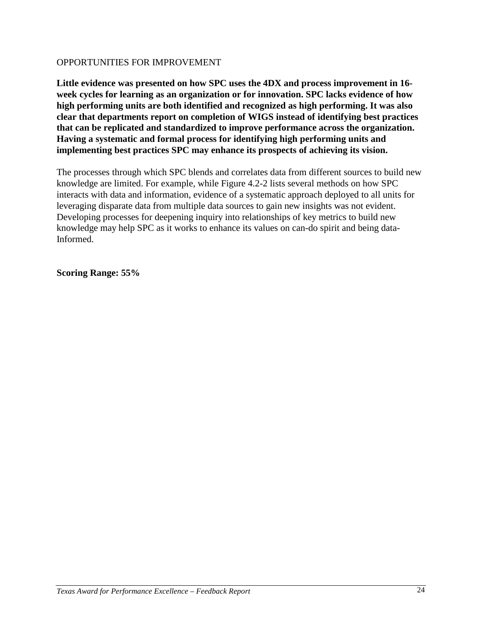**Little evidence was presented on how SPC uses the 4DX and process improvement in 16 week cycles for learning as an organization or for innovation. SPC lacks evidence of how high performing units are both identified and recognized as high performing. It was also clear that departments report on completion of WIGS instead of identifying best practices that can be replicated and standardized to improve performance across the organization. Having a systematic and formal process for identifying high performing units and implementing best practices SPC may enhance its prospects of achieving its vision.**

The processes through which SPC blends and correlates data from different sources to build new knowledge are limited. For example, while Figure 4.2-2 lists several methods on how SPC interacts with data and information, evidence of a systematic approach deployed to all units for leveraging disparate data from multiple data sources to gain new insights was not evident. Developing processes for deepening inquiry into relationships of key metrics to build new knowledge may help SPC as it works to enhance its values on can-do spirit and being data-Informed.

**Scoring Range: 55%**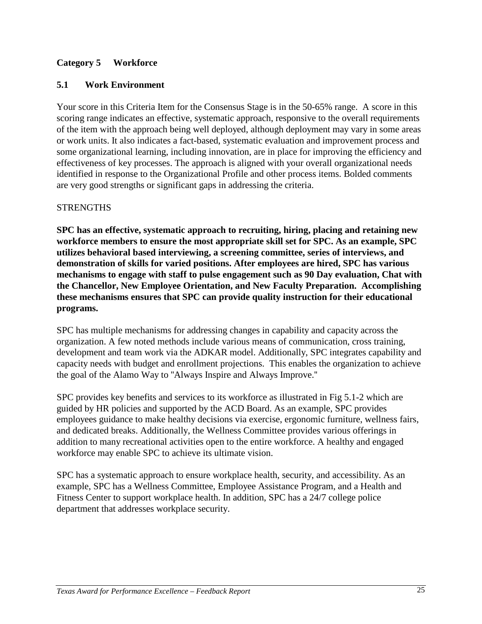# **Category 5 Workforce**

# **5.1 Work Environment**

Your score in this Criteria Item for the Consensus Stage is in the 50-65% range. A score in this scoring range indicates an effective, systematic approach, responsive to the overall requirements of the item with the approach being well deployed, although deployment may vary in some areas or work units. It also indicates a fact-based, systematic evaluation and improvement process and some organizational learning, including innovation, are in place for improving the efficiency and effectiveness of key processes. The approach is aligned with your overall organizational needs identified in response to the Organizational Profile and other process items. Bolded comments are very good strengths or significant gaps in addressing the criteria.

#### **STRENGTHS**

**SPC has an effective, systematic approach to recruiting, hiring, placing and retaining new workforce members to ensure the most appropriate skill set for SPC. As an example, SPC utilizes behavioral based interviewing, a screening committee, series of interviews, and demonstration of skills for varied positions. After employees are hired, SPC has various mechanisms to engage with staff to pulse engagement such as 90 Day evaluation, Chat with the Chancellor, New Employee Orientation, and New Faculty Preparation. Accomplishing these mechanisms ensures that SPC can provide quality instruction for their educational programs.**

SPC has multiple mechanisms for addressing changes in capability and capacity across the organization. A few noted methods include various means of communication, cross training, development and team work via the ADKAR model. Additionally, SPC integrates capability and capacity needs with budget and enrollment projections. This enables the organization to achieve the goal of the Alamo Way to ''Always Inspire and Always Improve.''

SPC provides key benefits and services to its workforce as illustrated in Fig 5.1-2 which are guided by HR policies and supported by the ACD Board. As an example, SPC provides employees guidance to make healthy decisions via exercise, ergonomic furniture, wellness fairs, and dedicated breaks. Additionally, the Wellness Committee provides various offerings in addition to many recreational activities open to the entire workforce. A healthy and engaged workforce may enable SPC to achieve its ultimate vision.

SPC has a systematic approach to ensure workplace health, security, and accessibility. As an example, SPC has a Wellness Committee, Employee Assistance Program, and a Health and Fitness Center to support workplace health. In addition, SPC has a 24/7 college police department that addresses workplace security.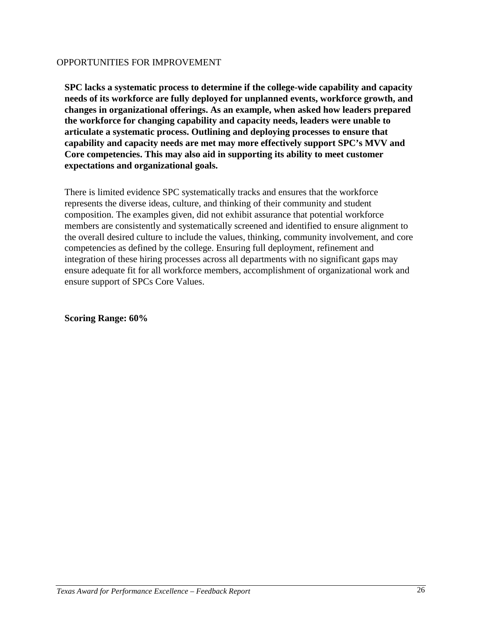**SPC lacks a systematic process to determine if the college-wide capability and capacity needs of its workforce are fully deployed for unplanned events, workforce growth, and changes in organizational offerings. As an example, when asked how leaders prepared the workforce for changing capability and capacity needs, leaders were unable to articulate a systematic process. Outlining and deploying processes to ensure that capability and capacity needs are met may more effectively support SPC's MVV and Core competencies. This may also aid in supporting its ability to meet customer expectations and organizational goals.**

There is limited evidence SPC systematically tracks and ensures that the workforce represents the diverse ideas, culture, and thinking of their community and student composition. The examples given, did not exhibit assurance that potential workforce members are consistently and systematically screened and identified to ensure alignment to the overall desired culture to include the values, thinking, community involvement, and core competencies as defined by the college. Ensuring full deployment, refinement and integration of these hiring processes across all departments with no significant gaps may ensure adequate fit for all workforce members, accomplishment of organizational work and ensure support of SPCs Core Values.

**Scoring Range: 60%**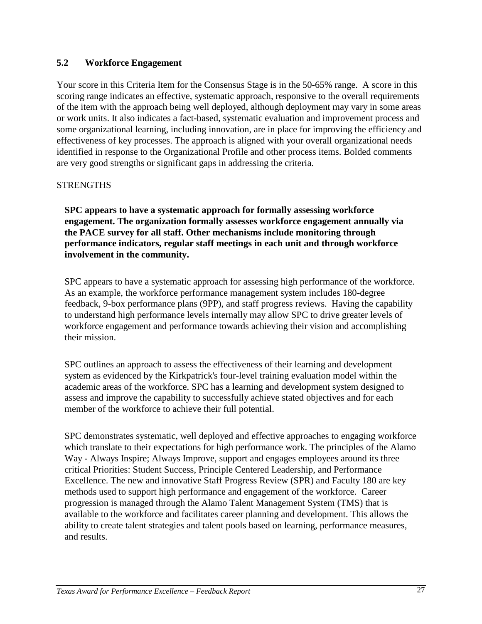# **5.2 Workforce Engagement**

Your score in this Criteria Item for the Consensus Stage is in the 50-65% range. A score in this scoring range indicates an effective, systematic approach, responsive to the overall requirements of the item with the approach being well deployed, although deployment may vary in some areas or work units. It also indicates a fact-based, systematic evaluation and improvement process and some organizational learning, including innovation, are in place for improving the efficiency and effectiveness of key processes. The approach is aligned with your overall organizational needs identified in response to the Organizational Profile and other process items. Bolded comments are very good strengths or significant gaps in addressing the criteria.

# STRENGTHS

**SPC appears to have a systematic approach for formally assessing workforce engagement. The organization formally assesses workforce engagement annually via the PACE survey for all staff. Other mechanisms include monitoring through performance indicators, regular staff meetings in each unit and through workforce involvement in the community.**

SPC appears to have a systematic approach for assessing high performance of the workforce. As an example, the workforce performance management system includes 180-degree feedback, 9-box performance plans (9PP), and staff progress reviews. Having the capability to understand high performance levels internally may allow SPC to drive greater levels of workforce engagement and performance towards achieving their vision and accomplishing their mission.

SPC outlines an approach to assess the effectiveness of their learning and development system as evidenced by the Kirkpatrick's four-level training evaluation model within the academic areas of the workforce. SPC has a learning and development system designed to assess and improve the capability to successfully achieve stated objectives and for each member of the workforce to achieve their full potential.

SPC demonstrates systematic, well deployed and effective approaches to engaging workforce which translate to their expectations for high performance work. The principles of the Alamo Way - Always Inspire; Always Improve, support and engages employees around its three critical Priorities: Student Success, Principle Centered Leadership, and Performance Excellence. The new and innovative Staff Progress Review (SPR) and Faculty 180 are key methods used to support high performance and engagement of the workforce. Career progression is managed through the Alamo Talent Management System (TMS) that is available to the workforce and facilitates career planning and development. This allows the ability to create talent strategies and talent pools based on learning, performance measures, and results.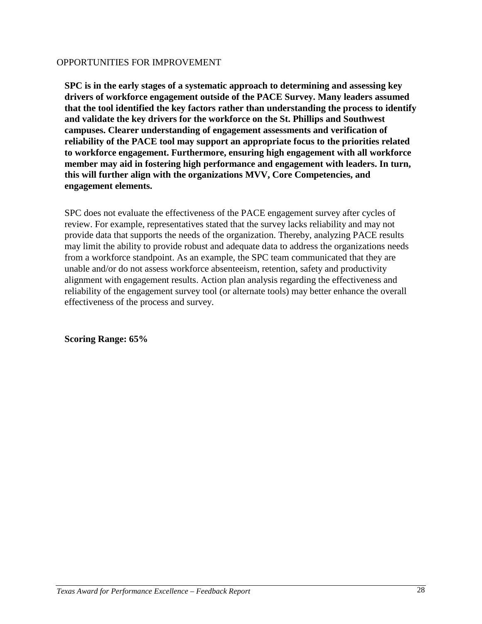**SPC is in the early stages of a systematic approach to determining and assessing key drivers of workforce engagement outside of the PACE Survey. Many leaders assumed that the tool identified the key factors rather than understanding the process to identify and validate the key drivers for the workforce on the St. Phillips and Southwest campuses. Clearer understanding of engagement assessments and verification of reliability of the PACE tool may support an appropriate focus to the priorities related to workforce engagement. Furthermore, ensuring high engagement with all workforce member may aid in fostering high performance and engagement with leaders. In turn, this will further align with the organizations MVV, Core Competencies, and engagement elements.**

SPC does not evaluate the effectiveness of the PACE engagement survey after cycles of review. For example, representatives stated that the survey lacks reliability and may not provide data that supports the needs of the organization. Thereby, analyzing PACE results may limit the ability to provide robust and adequate data to address the organizations needs from a workforce standpoint. As an example, the SPC team communicated that they are unable and/or do not assess workforce absenteeism, retention, safety and productivity alignment with engagement results. Action plan analysis regarding the effectiveness and reliability of the engagement survey tool (or alternate tools) may better enhance the overall effectiveness of the process and survey.

**Scoring Range: 65%**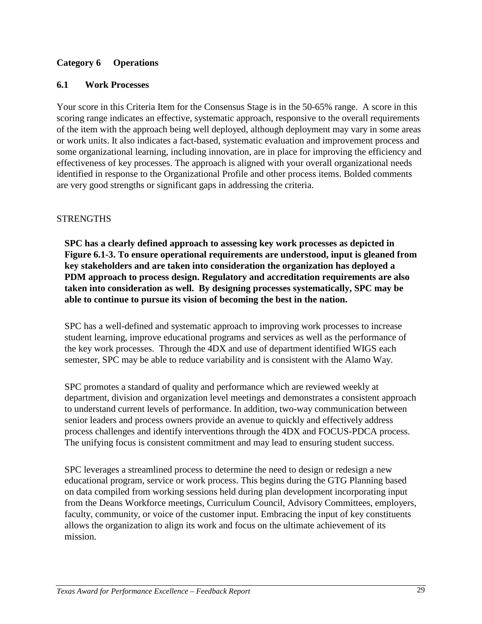# **Category 6 Operations**

#### **6.1 Work Processes**

Your score in this Criteria Item for the Consensus Stage is in the 50-65% range. A score in this scoring range indicates an effective, systematic approach, responsive to the overall requirements of the item with the approach being well deployed, although deployment may vary in some areas or work units. It also indicates a fact-based, systematic evaluation and improvement process and some organizational learning, including innovation, are in place for improving the efficiency and effectiveness of key processes. The approach is aligned with your overall organizational needs identified in response to the Organizational Profile and other process items. Bolded comments are very good strengths or significant gaps in addressing the criteria.

#### **STRENGTHS**

**SPC has a clearly defined approach to assessing key work processes as depicted in Figure 6.1-3. To ensure operational requirements are understood, input is gleaned from key stakeholders and are taken into consideration the organization has deployed a PDM approach to process design. Regulatory and accreditation requirements are also taken into consideration as well. By designing processes systematically, SPC may be able to continue to pursue its vision of becoming the best in the nation.**

SPC has a well-defined and systematic approach to improving work processes to increase student learning, improve educational programs and services as well as the performance of the key work processes. Through the 4DX and use of department identified WIGS each semester, SPC may be able to reduce variability and is consistent with the Alamo Way.

SPC promotes a standard of quality and performance which are reviewed weekly at department, division and organization level meetings and demonstrates a consistent approach to understand current levels of performance. In addition, two-way communication between senior leaders and process owners provide an avenue to quickly and effectively address process challenges and identify interventions through the 4DX and FOCUS-PDCA process. The unifying focus is consistent commitment and may lead to ensuring student success.

SPC leverages a streamlined process to determine the need to design or redesign a new educational program, service or work process. This begins during the GTG Planning based on data compiled from working sessions held during plan development incorporating input from the Deans Workforce meetings, Curriculum Council, Advisory Committees, employers, faculty, community, or voice of the customer input. Embracing the input of key constituents allows the organization to align its work and focus on the ultimate achievement of its mission.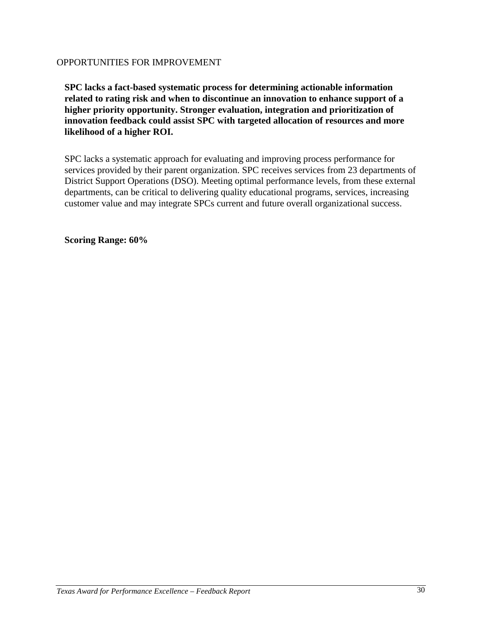**SPC lacks a fact-based systematic process for determining actionable information related to rating risk and when to discontinue an innovation to enhance support of a higher priority opportunity. Stronger evaluation, integration and prioritization of innovation feedback could assist SPC with targeted allocation of resources and more likelihood of a higher ROI.**

SPC lacks a systematic approach for evaluating and improving process performance for services provided by their parent organization. SPC receives services from 23 departments of District Support Operations (DSO). Meeting optimal performance levels, from these external departments, can be critical to delivering quality educational programs, services, increasing customer value and may integrate SPCs current and future overall organizational success.

**Scoring Range: 60%**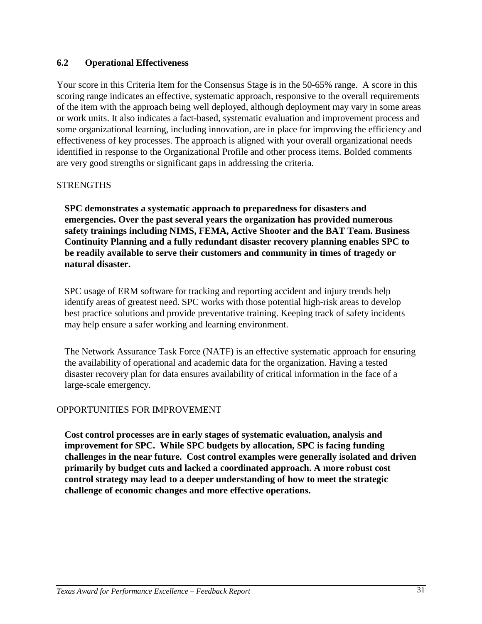# **6.2 Operational Effectiveness**

Your score in this Criteria Item for the Consensus Stage is in the 50-65% range. A score in this scoring range indicates an effective, systematic approach, responsive to the overall requirements of the item with the approach being well deployed, although deployment may vary in some areas or work units. It also indicates a fact-based, systematic evaluation and improvement process and some organizational learning, including innovation, are in place for improving the efficiency and effectiveness of key processes. The approach is aligned with your overall organizational needs identified in response to the Organizational Profile and other process items. Bolded comments are very good strengths or significant gaps in addressing the criteria.

#### STRENGTHS

**SPC demonstrates a systematic approach to preparedness for disasters and emergencies. Over the past several years the organization has provided numerous safety trainings including NIMS, FEMA, Active Shooter and the BAT Team. Business Continuity Planning and a fully redundant disaster recovery planning enables SPC to be readily available to serve their customers and community in times of tragedy or natural disaster.**

SPC usage of ERM software for tracking and reporting accident and injury trends help identify areas of greatest need. SPC works with those potential high-risk areas to develop best practice solutions and provide preventative training. Keeping track of safety incidents may help ensure a safer working and learning environment.

The Network Assurance Task Force (NATF) is an effective systematic approach for ensuring the availability of operational and academic data for the organization. Having a tested disaster recovery plan for data ensures availability of critical information in the face of a large-scale emergency.

# OPPORTUNITIES FOR IMPROVEMENT

**Cost control processes are in early stages of systematic evaluation, analysis and improvement for SPC. While SPC budgets by allocation, SPC is facing funding challenges in the near future. Cost control examples were generally isolated and driven primarily by budget cuts and lacked a coordinated approach. A more robust cost control strategy may lead to a deeper understanding of how to meet the strategic challenge of economic changes and more effective operations.**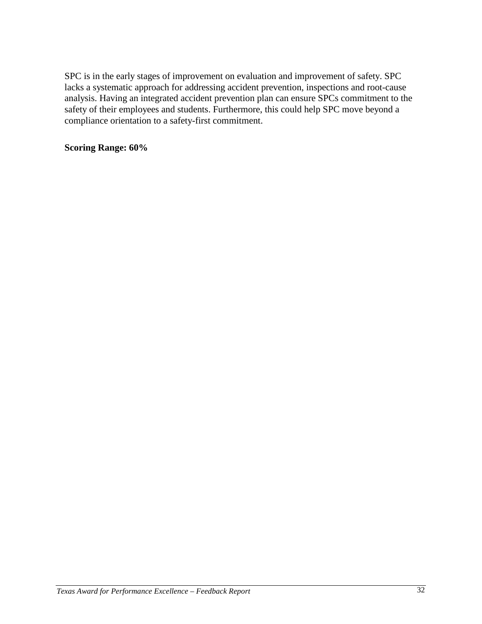SPC is in the early stages of improvement on evaluation and improvement of safety. SPC lacks a systematic approach for addressing accident prevention, inspections and root-cause analysis. Having an integrated accident prevention plan can ensure SPCs commitment to the safety of their employees and students. Furthermore, this could help SPC move beyond a compliance orientation to a safety-first commitment.

# **Scoring Range: 60%**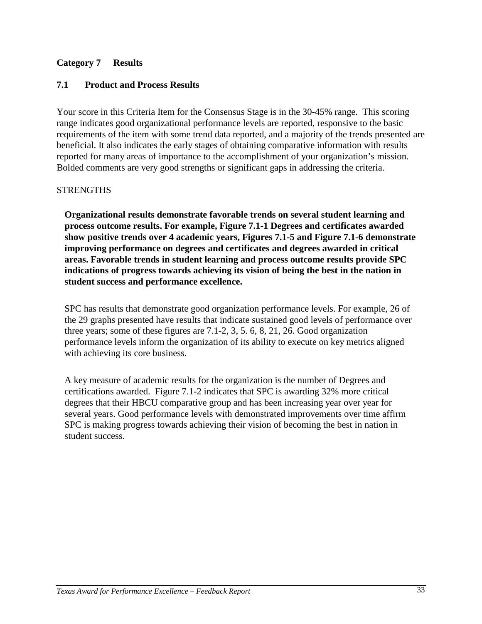# **Category 7 Results**

# **7.1 Product and Process Results**

Your score in this Criteria Item for the Consensus Stage is in the 30-45% range. This scoring range indicates good organizational performance levels are reported, responsive to the basic requirements of the item with some trend data reported, and a majority of the trends presented are beneficial. It also indicates the early stages of obtaining comparative information with results reported for many areas of importance to the accomplishment of your organization's mission. Bolded comments are very good strengths or significant gaps in addressing the criteria.

# **STRENGTHS**

**Organizational results demonstrate favorable trends on several student learning and process outcome results. For example, Figure 7.1-1 Degrees and certificates awarded show positive trends over 4 academic years, Figures 7.1-5 and Figure 7.1-6 demonstrate improving performance on degrees and certificates and degrees awarded in critical areas. Favorable trends in student learning and process outcome results provide SPC indications of progress towards achieving its vision of being the best in the nation in student success and performance excellence.**

SPC has results that demonstrate good organization performance levels. For example, 26 of the 29 graphs presented have results that indicate sustained good levels of performance over three years; some of these figures are 7.1-2, 3, 5. 6, 8, 21, 26. Good organization performance levels inform the organization of its ability to execute on key metrics aligned with achieving its core business.

A key measure of academic results for the organization is the number of Degrees and certifications awarded. Figure 7.1-2 indicates that SPC is awarding 32% more critical degrees that their HBCU comparative group and has been increasing year over year for several years. Good performance levels with demonstrated improvements over time affirm SPC is making progress towards achieving their vision of becoming the best in nation in student success.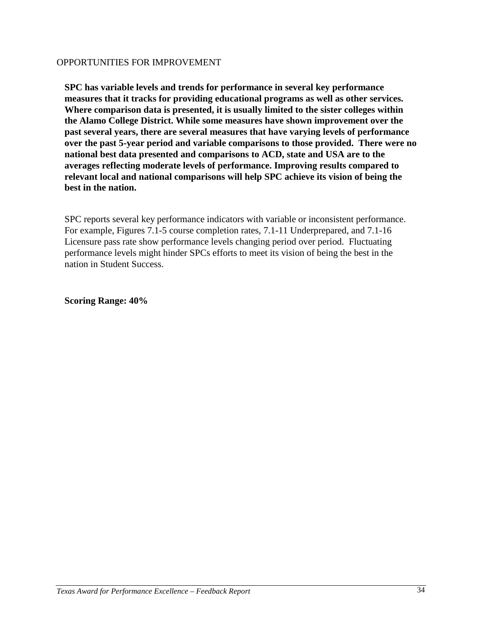**SPC has variable levels and trends for performance in several key performance measures that it tracks for providing educational programs as well as other services. Where comparison data is presented, it is usually limited to the sister colleges within the Alamo College District. While some measures have shown improvement over the past several years, there are several measures that have varying levels of performance over the past 5-year period and variable comparisons to those provided. There were no national best data presented and comparisons to ACD, state and USA are to the averages reflecting moderate levels of performance. Improving results compared to relevant local and national comparisons will help SPC achieve its vision of being the best in the nation.**

SPC reports several key performance indicators with variable or inconsistent performance. For example, Figures 7.1-5 course completion rates, 7.1-11 Underprepared, and 7.1-16 Licensure pass rate show performance levels changing period over period. Fluctuating performance levels might hinder SPCs efforts to meet its vision of being the best in the nation in Student Success.

**Scoring Range: 40%**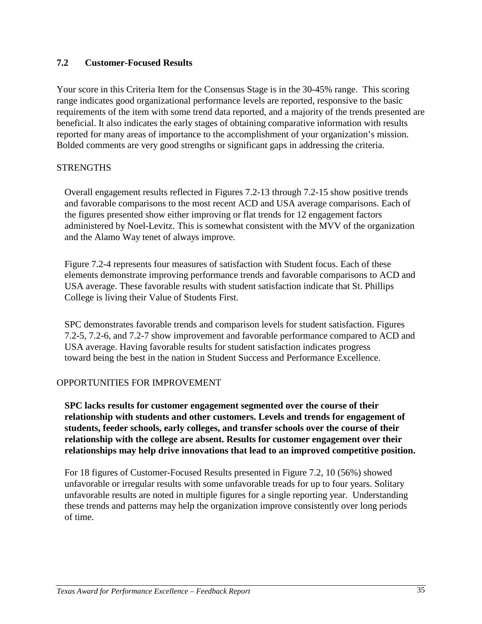# **7.2 Customer-Focused Results**

Your score in this Criteria Item for the Consensus Stage is in the 30-45% range. This scoring range indicates good organizational performance levels are reported, responsive to the basic requirements of the item with some trend data reported, and a majority of the trends presented are beneficial. It also indicates the early stages of obtaining comparative information with results reported for many areas of importance to the accomplishment of your organization's mission. Bolded comments are very good strengths or significant gaps in addressing the criteria.

#### **STRENGTHS**

Overall engagement results reflected in Figures 7.2-13 through 7.2-15 show positive trends and favorable comparisons to the most recent ACD and USA average comparisons. Each of the figures presented show either improving or flat trends for 12 engagement factors administered by Noel-Levitz. This is somewhat consistent with the MVV of the organization and the Alamo Way tenet of always improve.

Figure 7.2-4 represents four measures of satisfaction with Student focus. Each of these elements demonstrate improving performance trends and favorable comparisons to ACD and USA average. These favorable results with student satisfaction indicate that St. Phillips College is living their Value of Students First.

SPC demonstrates favorable trends and comparison levels for student satisfaction. Figures 7.2-5, 7.2-6, and 7.2-7 show improvement and favorable performance compared to ACD and USA average. Having favorable results for student satisfaction indicates progress toward being the best in the nation in Student Success and Performance Excellence.

# OPPORTUNITIES FOR IMPROVEMENT

**SPC lacks results for customer engagement segmented over the course of their relationship with students and other customers. Levels and trends for engagement of students, feeder schools, early colleges, and transfer schools over the course of their relationship with the college are absent. Results for customer engagement over their relationships may help drive innovations that lead to an improved competitive position.**

For 18 figures of Customer-Focused Results presented in Figure 7.2, 10 (56%) showed unfavorable or irregular results with some unfavorable treads for up to four years. Solitary unfavorable results are noted in multiple figures for a single reporting year. Understanding these trends and patterns may help the organization improve consistently over long periods of time.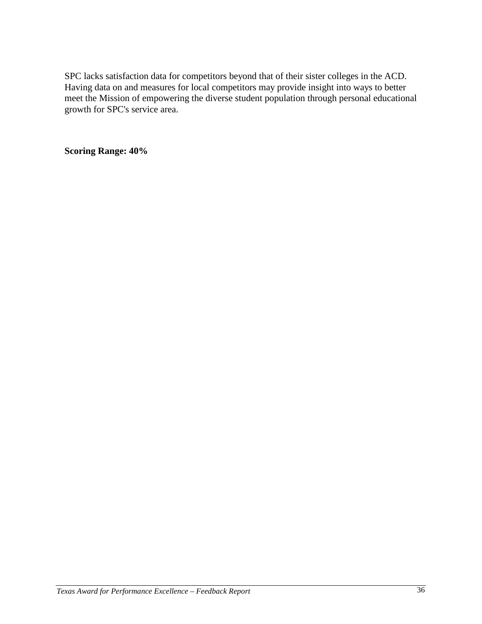SPC lacks satisfaction data for competitors beyond that of their sister colleges in the ACD. Having data on and measures for local competitors may provide insight into ways to better meet the Mission of empowering the diverse student population through personal educational growth for SPC's service area.

**Scoring Range: 40%**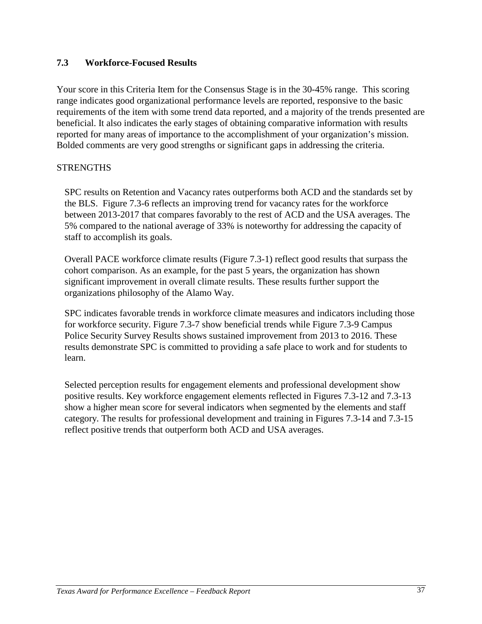# **7.3 Workforce-Focused Results**

Your score in this Criteria Item for the Consensus Stage is in the 30-45% range. This scoring range indicates good organizational performance levels are reported, responsive to the basic requirements of the item with some trend data reported, and a majority of the trends presented are beneficial. It also indicates the early stages of obtaining comparative information with results reported for many areas of importance to the accomplishment of your organization's mission. Bolded comments are very good strengths or significant gaps in addressing the criteria.

# **STRENGTHS**

SPC results on Retention and Vacancy rates outperforms both ACD and the standards set by the BLS. Figure 7.3-6 reflects an improving trend for vacancy rates for the workforce between 2013-2017 that compares favorably to the rest of ACD and the USA averages. The 5% compared to the national average of 33% is noteworthy for addressing the capacity of staff to accomplish its goals.

Overall PACE workforce climate results (Figure 7.3-1) reflect good results that surpass the cohort comparison. As an example, for the past 5 years, the organization has shown significant improvement in overall climate results. These results further support the organizations philosophy of the Alamo Way.

SPC indicates favorable trends in workforce climate measures and indicators including those for workforce security. Figure 7.3-7 show beneficial trends while Figure 7.3-9 Campus Police Security Survey Results shows sustained improvement from 2013 to 2016. These results demonstrate SPC is committed to providing a safe place to work and for students to learn.

Selected perception results for engagement elements and professional development show positive results. Key workforce engagement elements reflected in Figures 7.3-12 and 7.3-13 show a higher mean score for several indicators when segmented by the elements and staff category. The results for professional development and training in Figures 7.3-14 and 7.3-15 reflect positive trends that outperform both ACD and USA averages.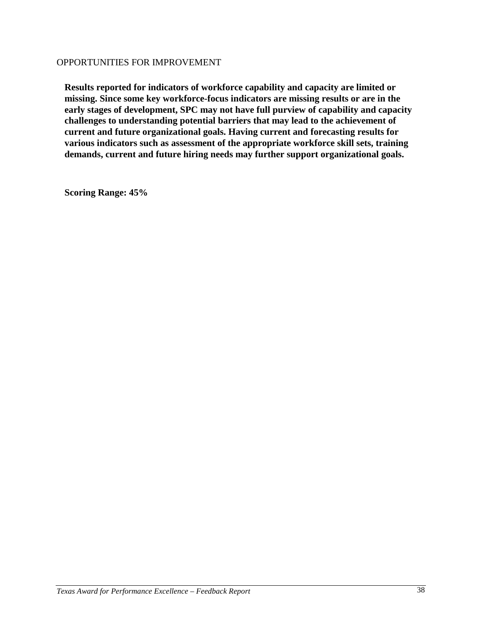**Results reported for indicators of workforce capability and capacity are limited or missing. Since some key workforce-focus indicators are missing results or are in the early stages of development, SPC may not have full purview of capability and capacity challenges to understanding potential barriers that may lead to the achievement of current and future organizational goals. Having current and forecasting results for various indicators such as assessment of the appropriate workforce skill sets, training demands, current and future hiring needs may further support organizational goals.**

**Scoring Range: 45%**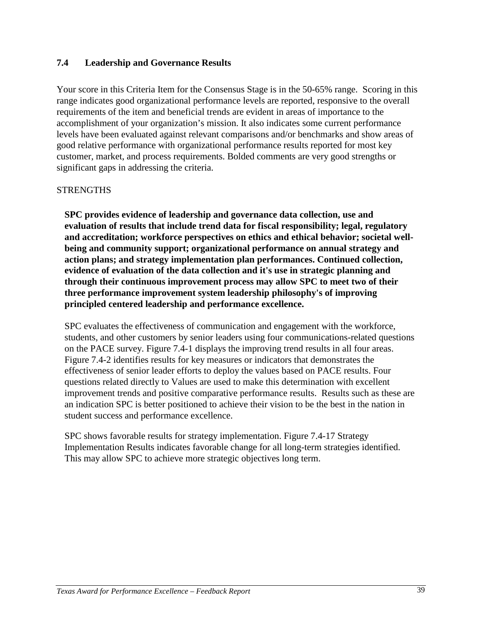# **7.4 Leadership and Governance Results**

Your score in this Criteria Item for the Consensus Stage is in the 50-65% range. Scoring in this range indicates good organizational performance levels are reported, responsive to the overall requirements of the item and beneficial trends are evident in areas of importance to the accomplishment of your organization's mission. It also indicates some current performance levels have been evaluated against relevant comparisons and/or benchmarks and show areas of good relative performance with organizational performance results reported for most key customer, market, and process requirements. Bolded comments are very good strengths or significant gaps in addressing the criteria.

# **STRENGTHS**

**SPC provides evidence of leadership and governance data collection, use and evaluation of results that include trend data for fiscal responsibility; legal, regulatory and accreditation; workforce perspectives on ethics and ethical behavior; societal wellbeing and community support; organizational performance on annual strategy and action plans; and strategy implementation plan performances. Continued collection, evidence of evaluation of the data collection and it's use in strategic planning and through their continuous improvement process may allow SPC to meet two of their three performance improvement system leadership philosophy's of improving principled centered leadership and performance excellence.**

SPC evaluates the effectiveness of communication and engagement with the workforce, students, and other customers by senior leaders using four communications-related questions on the PACE survey. Figure 7.4-1 displays the improving trend results in all four areas. Figure 7.4-2 identifies results for key measures or indicators that demonstrates the effectiveness of senior leader efforts to deploy the values based on PACE results. Four questions related directly to Values are used to make this determination with excellent improvement trends and positive comparative performance results. Results such as these are an indication SPC is better positioned to achieve their vision to be the best in the nation in student success and performance excellence.

SPC shows favorable results for strategy implementation. Figure 7.4-17 Strategy Implementation Results indicates favorable change for all long-term strategies identified. This may allow SPC to achieve more strategic objectives long term.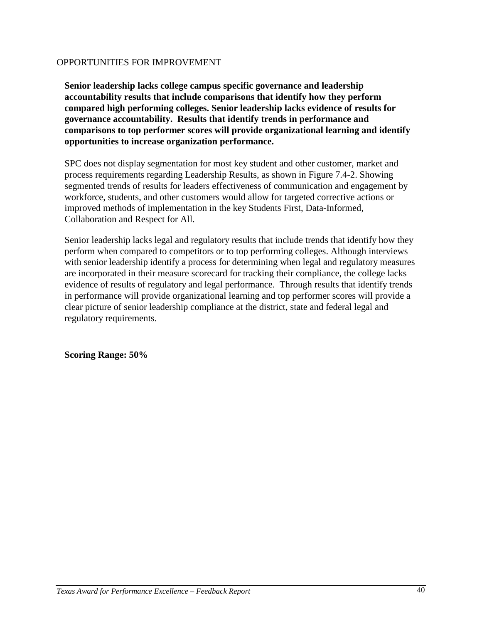**Senior leadership lacks college campus specific governance and leadership accountability results that include comparisons that identify how they perform compared high performing colleges. Senior leadership lacks evidence of results for governance accountability. Results that identify trends in performance and comparisons to top performer scores will provide organizational learning and identify opportunities to increase organization performance.**

SPC does not display segmentation for most key student and other customer, market and process requirements regarding Leadership Results, as shown in Figure 7.4-2. Showing segmented trends of results for leaders effectiveness of communication and engagement by workforce, students, and other customers would allow for targeted corrective actions or improved methods of implementation in the key Students First, Data-Informed, Collaboration and Respect for All.

Senior leadership lacks legal and regulatory results that include trends that identify how they perform when compared to competitors or to top performing colleges. Although interviews with senior leadership identify a process for determining when legal and regulatory measures are incorporated in their measure scorecard for tracking their compliance, the college lacks evidence of results of regulatory and legal performance. Through results that identify trends in performance will provide organizational learning and top performer scores will provide a clear picture of senior leadership compliance at the district, state and federal legal and regulatory requirements.

**Scoring Range: 50%**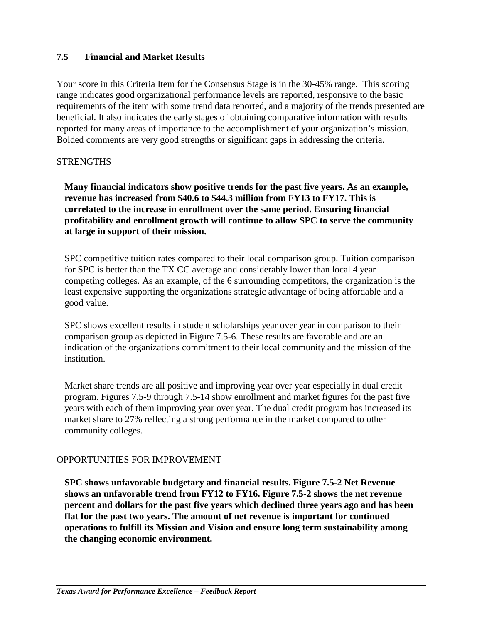# **7.5 Financial and Market Results**

Your score in this Criteria Item for the Consensus Stage is in the 30-45% range. This scoring range indicates good organizational performance levels are reported, responsive to the basic requirements of the item with some trend data reported, and a majority of the trends presented are beneficial. It also indicates the early stages of obtaining comparative information with results reported for many areas of importance to the accomplishment of your organization's mission. Bolded comments are very good strengths or significant gaps in addressing the criteria.

# **STRENGTHS**

**Many financial indicators show positive trends for the past five years. As an example, revenue has increased from \$40.6 to \$44.3 million from FY13 to FY17. This is correlated to the increase in enrollment over the same period. Ensuring financial profitability and enrollment growth will continue to allow SPC to serve the community at large in support of their mission.**

SPC competitive tuition rates compared to their local comparison group. Tuition comparison for SPC is better than the TX CC average and considerably lower than local 4 year competing colleges. As an example, of the 6 surrounding competitors, the organization is the least expensive supporting the organizations strategic advantage of being affordable and a good value.

SPC shows excellent results in student scholarships year over year in comparison to their comparison group as depicted in Figure 7.5-6. These results are favorable and are an indication of the organizations commitment to their local community and the mission of the institution.

Market share trends are all positive and improving year over year especially in dual credit program. Figures 7.5-9 through 7.5-14 show enrollment and market figures for the past five years with each of them improving year over year. The dual credit program has increased its market share to 27% reflecting a strong performance in the market compared to other community colleges.

# OPPORTUNITIES FOR IMPROVEMENT

**SPC shows unfavorable budgetary and financial results. Figure 7.5-2 Net Revenue shows an unfavorable trend from FY12 to FY16. Figure 7.5-2 shows the net revenue percent and dollars for the past five years which declined three years ago and has been flat for the past two years. The amount of net revenue is important for continued operations to fulfill its Mission and Vision and ensure long term sustainability among the changing economic environment.**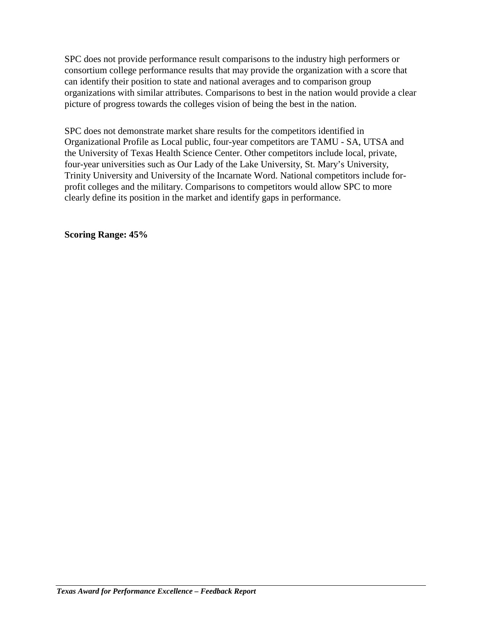SPC does not provide performance result comparisons to the industry high performers or consortium college performance results that may provide the organization with a score that can identify their position to state and national averages and to comparison group organizations with similar attributes. Comparisons to best in the nation would provide a clear picture of progress towards the colleges vision of being the best in the nation.

SPC does not demonstrate market share results for the competitors identified in Organizational Profile as Local public, four-year competitors are TAMU - SA, UTSA and the University of Texas Health Science Center. Other competitors include local, private, four-year universities such as Our Lady of the Lake University, St. Mary's University, Trinity University and University of the Incarnate Word. National competitors include forprofit colleges and the military. Comparisons to competitors would allow SPC to more clearly define its position in the market and identify gaps in performance.

**Scoring Range: 45%**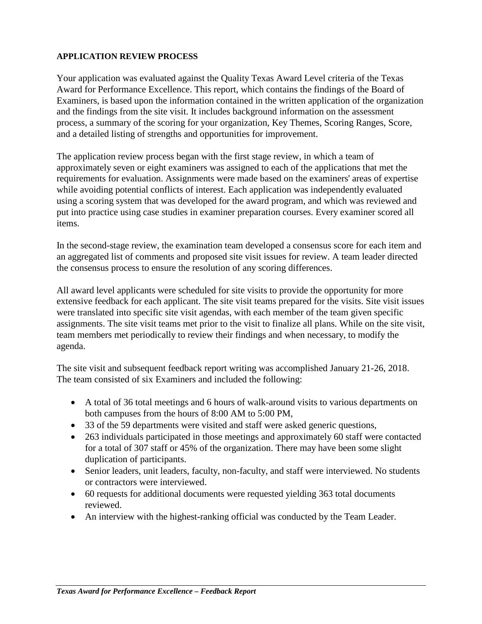# **APPLICATION REVIEW PROCESS**

Your application was evaluated against the Quality Texas Award Level criteria of the Texas Award for Performance Excellence. This report, which contains the findings of the Board of Examiners, is based upon the information contained in the written application of the organization and the findings from the site visit. It includes background information on the assessment process, a summary of the scoring for your organization, Key Themes, Scoring Ranges, Score, and a detailed listing of strengths and opportunities for improvement.

The application review process began with the first stage review, in which a team of approximately seven or eight examiners was assigned to each of the applications that met the requirements for evaluation. Assignments were made based on the examiners' areas of expertise while avoiding potential conflicts of interest. Each application was independently evaluated using a scoring system that was developed for the award program, and which was reviewed and put into practice using case studies in examiner preparation courses. Every examiner scored all items.

In the second-stage review, the examination team developed a consensus score for each item and an aggregated list of comments and proposed site visit issues for review. A team leader directed the consensus process to ensure the resolution of any scoring differences.

All award level applicants were scheduled for site visits to provide the opportunity for more extensive feedback for each applicant. The site visit teams prepared for the visits. Site visit issues were translated into specific site visit agendas, with each member of the team given specific assignments. The site visit teams met prior to the visit to finalize all plans. While on the site visit, team members met periodically to review their findings and when necessary, to modify the agenda.

The site visit and subsequent feedback report writing was accomplished January 21-26, 2018. The team consisted of six Examiners and included the following:

- A total of 36 total meetings and 6 hours of walk-around visits to various departments on both campuses from the hours of 8:00 AM to 5:00 PM,
- 33 of the 59 departments were visited and staff were asked generic questions,
- 263 individuals participated in those meetings and approximately 60 staff were contacted for a total of 307 staff or 45% of the organization. There may have been some slight duplication of participants.
- Senior leaders, unit leaders, faculty, non-faculty, and staff were interviewed. No students or contractors were interviewed.
- 60 requests for additional documents were requested yielding 363 total documents reviewed.
- An interview with the highest-ranking official was conducted by the Team Leader.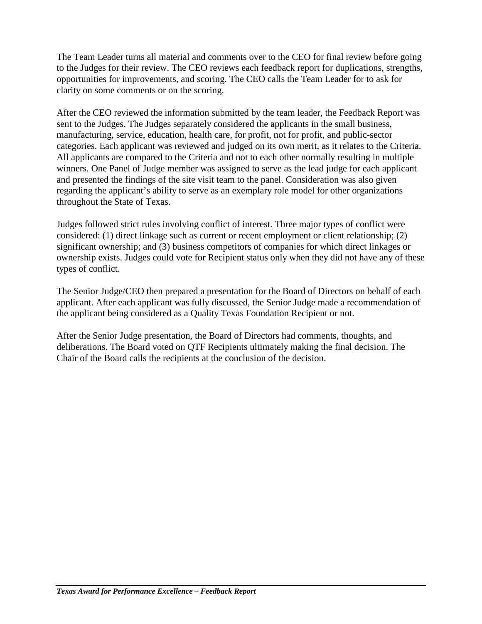The Team Leader turns all material and comments over to the CEO for final review before going to the Judges for their review. The CEO reviews each feedback report for duplications, strengths, opportunities for improvements, and scoring. The CEO calls the Team Leader for to ask for clarity on some comments or on the scoring.

After the CEO reviewed the information submitted by the team leader, the Feedback Report was sent to the Judges. The Judges separately considered the applicants in the small business, manufacturing, service, education, health care, for profit, not for profit, and public-sector categories. Each applicant was reviewed and judged on its own merit, as it relates to the Criteria. All applicants are compared to the Criteria and not to each other normally resulting in multiple winners. One Panel of Judge member was assigned to serve as the lead judge for each applicant and presented the findings of the site visit team to the panel. Consideration was also given regarding the applicant's ability to serve as an exemplary role model for other organizations throughout the State of Texas.

Judges followed strict rules involving conflict of interest. Three major types of conflict were considered: (1) direct linkage such as current or recent employment or client relationship; (2) significant ownership; and (3) business competitors of companies for which direct linkages or ownership exists. Judges could vote for Recipient status only when they did not have any of these types of conflict.

The Senior Judge/CEO then prepared a presentation for the Board of Directors on behalf of each applicant. After each applicant was fully discussed, the Senior Judge made a recommendation of the applicant being considered as a Quality Texas Foundation Recipient or not.

After the Senior Judge presentation, the Board of Directors had comments, thoughts, and deliberations. The Board voted on QTF Recipients ultimately making the final decision. The Chair of the Board calls the recipients at the conclusion of the decision.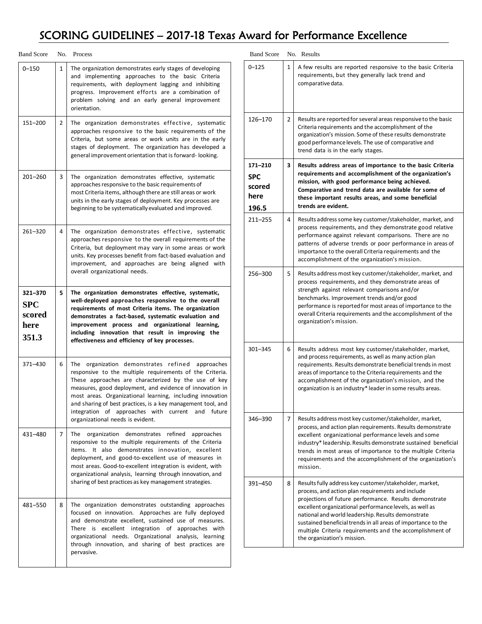# SCORING GUIDELINES – 2017-18 Texas Award for Performance Excellence

| <b>Band Score</b>                         |              | No. Process                                                                                                                                                                                                                                                                                                                                                                                                                                                     |
|-------------------------------------------|--------------|-----------------------------------------------------------------------------------------------------------------------------------------------------------------------------------------------------------------------------------------------------------------------------------------------------------------------------------------------------------------------------------------------------------------------------------------------------------------|
| $0 - 150$                                 | $\mathbf{1}$ | The organization demonstrates early stages of developing<br>and implementing approaches to the basic Criteria<br>requirements, with deployment lagging and inhibiting<br>progress. Improvement efforts are a combination of<br>problem solving and an early general improvement<br>orientation.                                                                                                                                                                 |
| 151-200                                   | 2            | The organization demonstrates effective, systematic<br>approaches responsive to the basic requirements of the<br>Criteria, but some areas or work units are in the early<br>stages of deployment. The organization has developed a<br>general improvement orientation that is forward-looking.                                                                                                                                                                  |
| $201 - 260$                               | 3            | The organization demonstrates effective, systematic<br>approaches responsive to the basic requirements of<br>most Criteria items, although there are still areas or work<br>units in the early stages of deployment. Key processes are<br>beginning to be systematically evaluated and improved.                                                                                                                                                                |
| 261-320                                   | 4            | The organization demonstrates effective, systematic<br>approaches responsive to the overall requirements of the<br>Criteria, but deployment may vary in some areas or work<br>units. Key processes benefit from fact-based evaluation and<br>improvement, and approaches are being aligned with<br>overall organizational needs.                                                                                                                                |
| 321-370<br>SPC<br>scored<br>here<br>351.3 | 5.           | The organization demonstrates effective, systematic,<br>well-deployed approaches responsive to the overall<br>requirements of most Criteria items. The organization<br>demonstrates a fact-based, systematic evaluation and<br>improvement process and organizational learning,<br>including innovation that result in improving the<br>effectiveness and efficiency of key processes.                                                                          |
| 371-430                                   | 6            | The organization demonstrates refined<br>approaches<br>responsive to the multiple requirements of the Criteria.<br>These approaches are characterized by the use of key<br>measures, good deployment, and evidence of innovation in<br>most areas. Organizational learning, including innovation<br>and sharing of best practices, is a key management tool, and<br>integration of approaches with current<br>and<br>future<br>organizational needs is evident. |
| 431-480                                   | 7            | The<br>organization<br>demonstrates refined<br>approaches<br>responsive to the multiple requirements of the Criteria<br>It also demonstrates innovation, excellent<br>items.<br>deployment, and good-to-excellent use of measures in<br>most areas. Good-to-excellent integration is evident, with<br>organizational analysis, learning through innovation, and<br>sharing of best practices as key management strategies.                                      |
| 481-550                                   | 8            | The organization demonstrates outstanding approaches<br>focused on innovation. Approaches are fully deployed<br>and demonstrate excellent, sustained use of measures.<br>is excellent integration<br>There<br>of<br>approaches with<br>organizational needs. Organizational analysis, learning<br>through innovation, and sharing of best practices are<br>pervasive.                                                                                           |

| <b>Band Score</b>                                |              | No. Results                                                                                                                                                                                                                                                                                                                                                                                                                                         |
|--------------------------------------------------|--------------|-----------------------------------------------------------------------------------------------------------------------------------------------------------------------------------------------------------------------------------------------------------------------------------------------------------------------------------------------------------------------------------------------------------------------------------------------------|
| $0 - 125$                                        | $\mathbf{1}$ | A few results are reported responsive to the basic Criteria<br>requirements, but they generally lack trend and<br>comparative data.                                                                                                                                                                                                                                                                                                                 |
| 126-170                                          | 2            | Results are reported for several areas responsive to the basic<br>Criteria requirements and the accomplishment of the<br>organization's mission. Some of these results demonstrate<br>good performance levels. The use of comparative and<br>trend data is in the early stages.                                                                                                                                                                     |
| 171-210<br><b>SPC</b><br>scored<br>here<br>196.5 | 3            | Results address areas of importance to the basic Criteria<br>requirements and accomplishment of the organization's<br>mission, with good performance being achieved.<br>Comparative and trend data are available for some of<br>these important results areas, and some beneficial<br>trends are evident.                                                                                                                                           |
| $211 - 255$                                      | 4            | Results address some key customer/stakeholder, market, and<br>process requirements, and they demonstrate good relative<br>performance against relevant comparisons. There are no<br>patterns of adverse trends or poor performance in areas of<br>importance to the overall Criteria requirements and the<br>accomplishment of the organization's mission.                                                                                          |
| 256-300                                          | 5            | Results address most key customer/stakeholder, market, and<br>process requirements, and they demonstrate areas of<br>strength against relevant comparisons and/or<br>benchmarks. Improvement trends and/or good<br>performance is reported for most areas of importance to the<br>overall Criteria requirements and the accomplishment of the<br>organization's mission.                                                                            |
| 301-345                                          | 6            | Results address most key customer/stakeholder, market,<br>and process requirements, as well as many action plan<br>requirements. Results demonstrate beneficial trends in most<br>areas of importance to the Criteria requirements and the<br>accomplishment of the organization's mission, and the<br>organization is an industry* leader in some results areas.                                                                                   |
| 346-390                                          | 7            | Results address most key customer/stakeholder, market,<br>process, and action plan requirements. Results demonstrate<br>excellent organizational performance levels and some<br>industry* leadership. Results demonstrate sustained beneficial<br>trends in most areas of importance to the multiple Criteria<br>requirements and the accomplishment of the organization's<br>mission.                                                              |
| 391-450                                          | 8            | Results fully address key customer/stakeholder, market,<br>process, and action plan requirements and include<br>projections of future performance. Results demonstrate<br>excellent organizational performance levels, as well as<br>national and world leadership. Results demonstrate<br>sustained beneficial trends in all areas of importance to the<br>multiple Criteria requirements and the accomplishment of<br>the organization's mission. |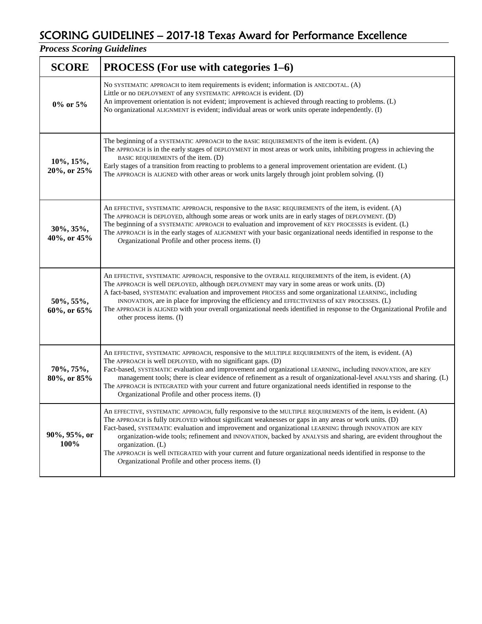# SCORING GUIDELINES – 2017-18 Texas Award for Performance Excellence

*Process Scoring Guidelines*

| <b>SCORE</b>             | <b>PROCESS</b> (For use with categories 1–6)                                                                                                                                                                                                                                                                                                                                                                                                                                                                                                                                                                                                        |  |  |  |  |
|--------------------------|-----------------------------------------------------------------------------------------------------------------------------------------------------------------------------------------------------------------------------------------------------------------------------------------------------------------------------------------------------------------------------------------------------------------------------------------------------------------------------------------------------------------------------------------------------------------------------------------------------------------------------------------------------|--|--|--|--|
| 0% or 5%                 | No SYSTEMATIC APPROACH to item requirements is evident; information is ANECDOTAL. (A)<br>Little or no DEPLOYMENT of any SYSTEMATIC APPROACH is evident. (D)<br>An improvement orientation is not evident; improvement is achieved through reacting to problems. (L)<br>No organizational ALIGNMENT is evident; individual areas or work units operate independently. (I)                                                                                                                                                                                                                                                                            |  |  |  |  |
| 10%, 15%,<br>20%, or 25% | The beginning of a SYSTEMATIC APPROACH to the BASIC REQUIREMENTS of the item is evident. (A)<br>The APPROACH is in the early stages of DEPLOYMENT in most areas or work units, inhibiting progress in achieving the<br>BASIC REQUIREMENTS of the item. (D)<br>Early stages of a transition from reacting to problems to a general improvement orientation are evident. (L)<br>The APPROACH is ALIGNED with other areas or work units largely through joint problem solving. (I)                                                                                                                                                                     |  |  |  |  |
| 30%, 35%,<br>40%, or 45% | An EFFECTIVE, SYSTEMATIC APPROACH, responsive to the BASIC REQUIREMENTS of the item, is evident. (A)<br>The APPROACH is DEPLOYED, although some areas or work units are in early stages of DEPLOYMENT. (D)<br>The beginning of a SYSTEMATIC APPROACH to evaluation and improvement of KEY PROCESSES is evident. (L)<br>The APPROACH is in the early stages of ALIGNMENT with your basic organizational needs identified in response to the<br>Organizational Profile and other process items. (I)                                                                                                                                                   |  |  |  |  |
| 50%, 55%,<br>60%, or 65% | An EFFECTIVE, SYSTEMATIC APPROACH, responsive to the OVERALL REQUIREMENTS of the item, is evident. (A)<br>The APPROACH is well DEPLOYED, although DEPLOYMENT may vary in some areas or work units. (D)<br>A fact-based, SYSTEMATIC evaluation and improvement PROCESS and some organizational LEARNING, including<br>INNOVATION, are in place for improving the efficiency and EFFECTIVENESS of KEY PROCESSES. (L)<br>The APPROACH is ALIGNED with your overall organizational needs identified in response to the Organizational Profile and<br>other process items. (I)                                                                           |  |  |  |  |
| 70%, 75%,<br>80%, or 85% | An EFFECTIVE, SYSTEMATIC APPROACH, responsive to the MULTIPLE REQUIREMENTS of the item, is evident. (A)<br>The APPROACH is well DEPLOYED, with no significant gaps. (D)<br>Fact-based, SYSTEMATIC evaluation and improvement and organizational LEARNING, including INNOVATION, are KEY<br>management tools; there is clear evidence of refinement as a result of organizational-level ANALYSIS and sharing. (L)<br>The APPROACH is INTEGRATED with your current and future organizational needs identified in response to the<br>Organizational Profile and other process items. (I)                                                               |  |  |  |  |
| 90%, 95%, or<br>100%     | An EFFECTIVE, SYSTEMATIC APPROACH, fully responsive to the MULTIPLE REQUIREMENTS of the item, is evident. (A)<br>The APPROACH is fully DEPLOYED without significant weaknesses or gaps in any areas or work units. (D)<br>Fact-based, SYSTEMATIC evaluation and improvement and organizational LEARNING through INNOVATION are KEY<br>organization-wide tools; refinement and INNOVATION, backed by ANALYSIS and sharing, are evident throughout the<br>organization. (L)<br>The APPROACH is well INTEGRATED with your current and future organizational needs identified in response to the<br>Organizational Profile and other process items. (I) |  |  |  |  |